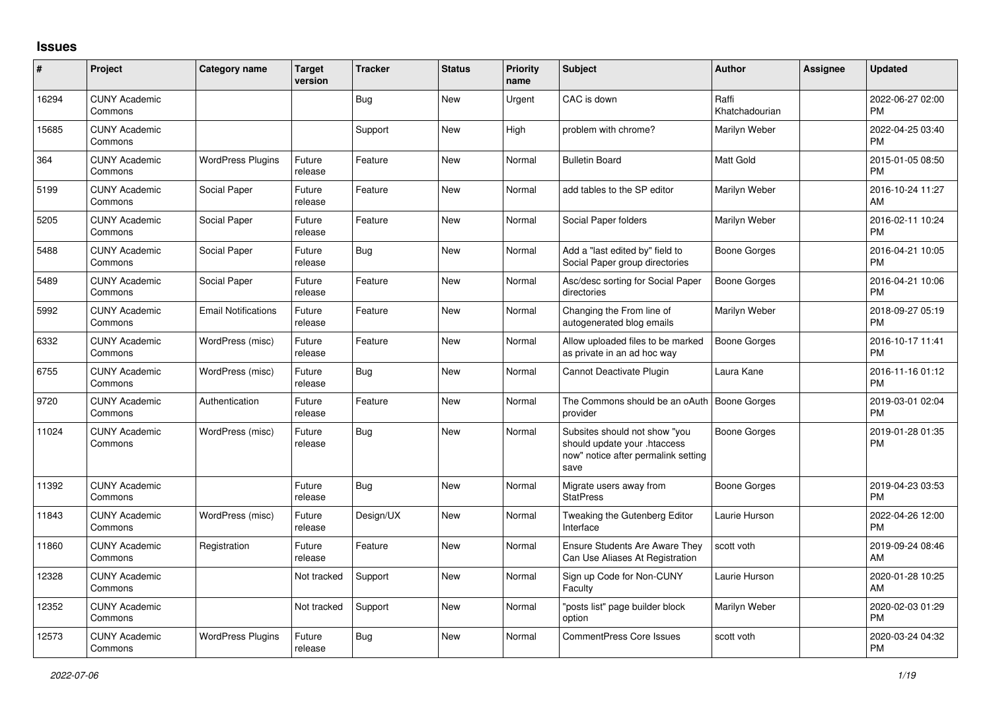## **Issues**

| #     | Project                         | <b>Category name</b>       | <b>Target</b><br>version | <b>Tracker</b> | <b>Status</b> | <b>Priority</b><br>name | <b>Subject</b>                                                                                               | <b>Author</b>           | <b>Assignee</b> | <b>Updated</b>                |
|-------|---------------------------------|----------------------------|--------------------------|----------------|---------------|-------------------------|--------------------------------------------------------------------------------------------------------------|-------------------------|-----------------|-------------------------------|
| 16294 | <b>CUNY Academic</b><br>Commons |                            |                          | <b>Bug</b>     | New           | Urgent                  | CAC is down                                                                                                  | Raffi<br>Khatchadourian |                 | 2022-06-27 02:00<br><b>PM</b> |
| 15685 | <b>CUNY Academic</b><br>Commons |                            |                          | Support        | New           | High                    | problem with chrome?                                                                                         | Marilyn Weber           |                 | 2022-04-25 03:40<br><b>PM</b> |
| 364   | <b>CUNY Academic</b><br>Commons | <b>WordPress Plugins</b>   | Future<br>release        | Feature        | <b>New</b>    | Normal                  | <b>Bulletin Board</b>                                                                                        | Matt Gold               |                 | 2015-01-05 08:50<br>PM        |
| 5199  | <b>CUNY Academic</b><br>Commons | Social Paper               | Future<br>release        | Feature        | <b>New</b>    | Normal                  | add tables to the SP editor                                                                                  | Marilyn Weber           |                 | 2016-10-24 11:27<br>AM        |
| 5205  | <b>CUNY Academic</b><br>Commons | Social Paper               | Future<br>release        | Feature        | <b>New</b>    | Normal                  | Social Paper folders                                                                                         | Marilyn Weber           |                 | 2016-02-11 10:24<br><b>PM</b> |
| 5488  | <b>CUNY Academic</b><br>Commons | Social Paper               | Future<br>release        | <b>Bug</b>     | New           | Normal                  | Add a "last edited by" field to<br>Social Paper group directories                                            | Boone Gorges            |                 | 2016-04-21 10:05<br><b>PM</b> |
| 5489  | <b>CUNY Academic</b><br>Commons | Social Paper               | Future<br>release        | Feature        | New           | Normal                  | Asc/desc sorting for Social Paper<br>directories                                                             | Boone Gorges            |                 | 2016-04-21 10:06<br>PM        |
| 5992  | <b>CUNY Academic</b><br>Commons | <b>Email Notifications</b> | Future<br>release        | Feature        | <b>New</b>    | Normal                  | Changing the From line of<br>autogenerated blog emails                                                       | Marilyn Weber           |                 | 2018-09-27 05:19<br><b>PM</b> |
| 6332  | <b>CUNY Academic</b><br>Commons | WordPress (misc)           | Future<br>release        | Feature        | <b>New</b>    | Normal                  | Allow uploaded files to be marked<br>as private in an ad hoc way                                             | <b>Boone Gorges</b>     |                 | 2016-10-17 11:41<br><b>PM</b> |
| 6755  | <b>CUNY Academic</b><br>Commons | WordPress (misc)           | Future<br>release        | Bug            | <b>New</b>    | Normal                  | Cannot Deactivate Plugin                                                                                     | Laura Kane              |                 | 2016-11-16 01:12<br><b>PM</b> |
| 9720  | <b>CUNY Academic</b><br>Commons | Authentication             | Future<br>release        | Feature        | New           | Normal                  | The Commons should be an oAuth<br>provider                                                                   | Boone Gorges            |                 | 2019-03-01 02:04<br><b>PM</b> |
| 11024 | <b>CUNY Academic</b><br>Commons | WordPress (misc)           | Future<br>release        | Bug            | New           | Normal                  | Subsites should not show "you<br>should update your .htaccess<br>now" notice after permalink setting<br>save | Boone Gorges            |                 | 2019-01-28 01:35<br>PM        |
| 11392 | <b>CUNY Academic</b><br>Commons |                            | Future<br>release        | Bug            | <b>New</b>    | Normal                  | Migrate users away from<br><b>StatPress</b>                                                                  | Boone Gorges            |                 | 2019-04-23 03:53<br>PM        |
| 11843 | <b>CUNY Academic</b><br>Commons | WordPress (misc)           | Future<br>release        | Design/UX      | <b>New</b>    | Normal                  | Tweaking the Gutenberg Editor<br>Interface                                                                   | Laurie Hurson           |                 | 2022-04-26 12:00<br><b>PM</b> |
| 11860 | <b>CUNY Academic</b><br>Commons | Registration               | Future<br>release        | Feature        | <b>New</b>    | Normal                  | <b>Ensure Students Are Aware They</b><br>Can Use Aliases At Registration                                     | scott voth              |                 | 2019-09-24 08:46<br>AM        |
| 12328 | <b>CUNY Academic</b><br>Commons |                            | Not tracked              | Support        | New           | Normal                  | Sign up Code for Non-CUNY<br>Faculty                                                                         | Laurie Hurson           |                 | 2020-01-28 10:25<br>AM        |
| 12352 | <b>CUNY Academic</b><br>Commons |                            | Not tracked              | Support        | New           | Normal                  | "posts list" page builder block<br>option                                                                    | Marilyn Weber           |                 | 2020-02-03 01:29<br>PM        |
| 12573 | <b>CUNY Academic</b><br>Commons | <b>WordPress Plugins</b>   | Future<br>release        | <b>Bug</b>     | <b>New</b>    | Normal                  | CommentPress Core Issues                                                                                     | scott voth              |                 | 2020-03-24 04:32<br><b>PM</b> |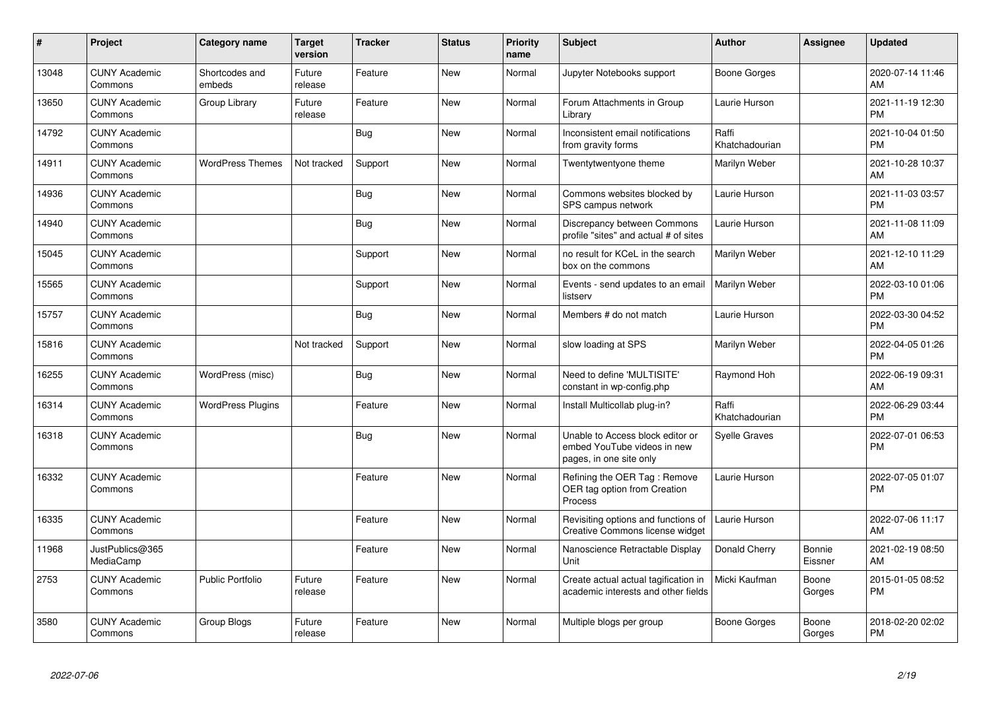| #     | Project                         | <b>Category name</b>     | <b>Target</b><br>version | <b>Tracker</b> | <b>Status</b> | <b>Priority</b><br>name | <b>Subject</b>                                                                             | <b>Author</b>           | <b>Assignee</b>   | <b>Updated</b>                |
|-------|---------------------------------|--------------------------|--------------------------|----------------|---------------|-------------------------|--------------------------------------------------------------------------------------------|-------------------------|-------------------|-------------------------------|
| 13048 | <b>CUNY Academic</b><br>Commons | Shortcodes and<br>embeds | Future<br>release        | Feature        | <b>New</b>    | Normal                  | Jupyter Notebooks support                                                                  | Boone Gorges            |                   | 2020-07-14 11:46<br>AM        |
| 13650 | <b>CUNY Academic</b><br>Commons | Group Library            | Future<br>release        | Feature        | <b>New</b>    | Normal                  | Forum Attachments in Group<br>Library                                                      | Laurie Hurson           |                   | 2021-11-19 12:30<br><b>PM</b> |
| 14792 | <b>CUNY Academic</b><br>Commons |                          |                          | Bug            | New           | Normal                  | Inconsistent email notifications<br>from gravity forms                                     | Raffi<br>Khatchadourian |                   | 2021-10-04 01:50<br><b>PM</b> |
| 14911 | <b>CUNY Academic</b><br>Commons | <b>WordPress Themes</b>  | Not tracked              | Support        | New           | Normal                  | Twentytwentyone theme                                                                      | Marilyn Weber           |                   | 2021-10-28 10:37<br>AM        |
| 14936 | <b>CUNY Academic</b><br>Commons |                          |                          | Bug            | New           | Normal                  | Commons websites blocked by<br>SPS campus network                                          | Laurie Hurson           |                   | 2021-11-03 03:57<br>PM        |
| 14940 | <b>CUNY Academic</b><br>Commons |                          |                          | <b>Bug</b>     | <b>New</b>    | Normal                  | Discrepancy between Commons<br>profile "sites" and actual # of sites                       | Laurie Hurson           |                   | 2021-11-08 11:09<br>AM        |
| 15045 | <b>CUNY Academic</b><br>Commons |                          |                          | Support        | <b>New</b>    | Normal                  | no result for KCeL in the search<br>box on the commons                                     | Marilyn Weber           |                   | 2021-12-10 11:29<br>AM        |
| 15565 | <b>CUNY Academic</b><br>Commons |                          |                          | Support        | New           | Normal                  | Events - send updates to an email<br>listserv                                              | Marilyn Weber           |                   | 2022-03-10 01:06<br>PM        |
| 15757 | <b>CUNY Academic</b><br>Commons |                          |                          | Bug            | New           | Normal                  | Members # do not match                                                                     | Laurie Hurson           |                   | 2022-03-30 04:52<br>PM        |
| 15816 | <b>CUNY Academic</b><br>Commons |                          | Not tracked              | Support        | New           | Normal                  | slow loading at SPS                                                                        | Marilyn Weber           |                   | 2022-04-05 01:26<br><b>PM</b> |
| 16255 | <b>CUNY Academic</b><br>Commons | WordPress (misc)         |                          | Bug            | <b>New</b>    | Normal                  | Need to define 'MULTISITE'<br>constant in wp-config.php                                    | Raymond Hoh             |                   | 2022-06-19 09:31<br>AM        |
| 16314 | <b>CUNY Academic</b><br>Commons | <b>WordPress Plugins</b> |                          | Feature        | New           | Normal                  | Install Multicollab plug-in?                                                               | Raffi<br>Khatchadourian |                   | 2022-06-29 03:44<br>PM        |
| 16318 | <b>CUNY Academic</b><br>Commons |                          |                          | Bug            | <b>New</b>    | Normal                  | Unable to Access block editor or<br>embed YouTube videos in new<br>pages, in one site only | <b>Syelle Graves</b>    |                   | 2022-07-01 06:53<br><b>PM</b> |
| 16332 | <b>CUNY Academic</b><br>Commons |                          |                          | Feature        | <b>New</b>    | Normal                  | Refining the OER Tag: Remove<br>OER tag option from Creation<br>Process                    | Laurie Hurson           |                   | 2022-07-05 01:07<br>PM        |
| 16335 | <b>CUNY Academic</b><br>Commons |                          |                          | Feature        | New           | Normal                  | Revisiting options and functions of<br>Creative Commons license widget                     | Laurie Hurson           |                   | 2022-07-06 11:17<br>AM        |
| 11968 | JustPublics@365<br>MediaCamp    |                          |                          | Feature        | <b>New</b>    | Normal                  | Nanoscience Retractable Display<br>Unit                                                    | Donald Cherry           | Bonnie<br>Eissner | 2021-02-19 08:50<br>AM        |
| 2753  | <b>CUNY Academic</b><br>Commons | <b>Public Portfolio</b>  | Future<br>release        | Feature        | <b>New</b>    | Normal                  | Create actual actual tagification in<br>academic interests and other fields                | Micki Kaufman           | Boone<br>Gorges   | 2015-01-05 08:52<br>PM        |
| 3580  | <b>CUNY Academic</b><br>Commons | Group Blogs              | Future<br>release        | Feature        | <b>New</b>    | Normal                  | Multiple blogs per group                                                                   | Boone Gorges            | Boone<br>Gorges   | 2018-02-20 02:02<br>PM        |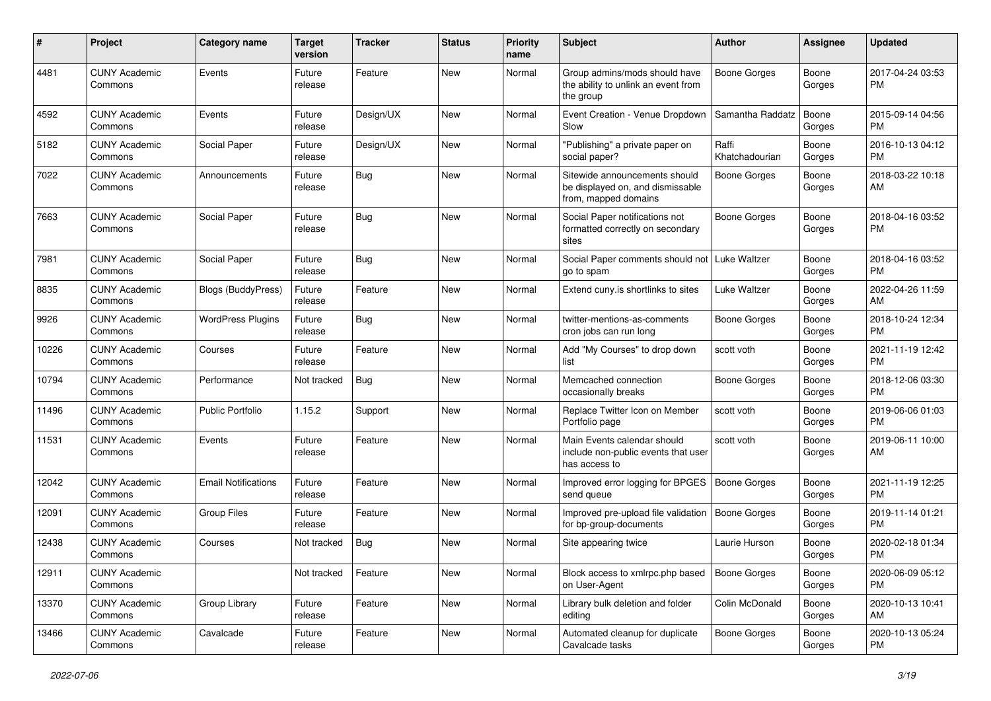| $\#$  | Project                         | <b>Category name</b>       | <b>Target</b><br>version | <b>Tracker</b> | <b>Status</b> | Priority<br>name | <b>Subject</b>                                                                            | Author                  | <b>Assignee</b> | <b>Updated</b>                |
|-------|---------------------------------|----------------------------|--------------------------|----------------|---------------|------------------|-------------------------------------------------------------------------------------------|-------------------------|-----------------|-------------------------------|
| 4481  | <b>CUNY Academic</b><br>Commons | Events                     | Future<br>release        | Feature        | <b>New</b>    | Normal           | Group admins/mods should have<br>the ability to unlink an event from<br>the group         | <b>Boone Gorges</b>     | Boone<br>Gorges | 2017-04-24 03:53<br><b>PM</b> |
| 4592  | <b>CUNY Academic</b><br>Commons | Events                     | Future<br>release        | Design/UX      | <b>New</b>    | Normal           | Event Creation - Venue Dropdown<br>Slow                                                   | Samantha Raddatz        | Boone<br>Gorges | 2015-09-14 04:56<br>PM        |
| 5182  | <b>CUNY Academic</b><br>Commons | Social Paper               | Future<br>release        | Design/UX      | New           | Normal           | "Publishing" a private paper on<br>social paper?                                          | Raffi<br>Khatchadourian | Boone<br>Gorges | 2016-10-13 04:12<br><b>PM</b> |
| 7022  | <b>CUNY Academic</b><br>Commons | Announcements              | Future<br>release        | <b>Bug</b>     | <b>New</b>    | Normal           | Sitewide announcements should<br>be displayed on, and dismissable<br>from, mapped domains | <b>Boone Gorges</b>     | Boone<br>Gorges | 2018-03-22 10:18<br>AM        |
| 7663  | <b>CUNY Academic</b><br>Commons | Social Paper               | Future<br>release        | <b>Bug</b>     | New           | Normal           | Social Paper notifications not<br>formatted correctly on secondary<br>sites               | <b>Boone Gorges</b>     | Boone<br>Gorges | 2018-04-16 03:52<br><b>PM</b> |
| 7981  | <b>CUNY Academic</b><br>Commons | Social Paper               | Future<br>release        | Bug            | New           | Normal           | Social Paper comments should not  <br>go to spam                                          | <b>Luke Waltzer</b>     | Boone<br>Gorges | 2018-04-16 03:52<br><b>PM</b> |
| 8835  | <b>CUNY Academic</b><br>Commons | <b>Blogs (BuddyPress)</b>  | Future<br>release        | Feature        | <b>New</b>    | Normal           | Extend cuny.is shortlinks to sites                                                        | Luke Waltzer            | Boone<br>Gorges | 2022-04-26 11:59<br>AM        |
| 9926  | <b>CUNY Academic</b><br>Commons | <b>WordPress Plugins</b>   | Future<br>release        | <b>Bug</b>     | <b>New</b>    | Normal           | twitter-mentions-as-comments<br>cron jobs can run long                                    | Boone Gorges            | Boone<br>Gorges | 2018-10-24 12:34<br><b>PM</b> |
| 10226 | <b>CUNY Academic</b><br>Commons | Courses                    | Future<br>release        | Feature        | New           | Normal           | Add "My Courses" to drop down<br>list                                                     | scott voth              | Boone<br>Gorges | 2021-11-19 12:42<br><b>PM</b> |
| 10794 | <b>CUNY Academic</b><br>Commons | Performance                | Not tracked              | Bug            | <b>New</b>    | Normal           | Memcached connection<br>occasionally breaks                                               | <b>Boone Gorges</b>     | Boone<br>Gorges | 2018-12-06 03:30<br><b>PM</b> |
| 11496 | <b>CUNY Academic</b><br>Commons | <b>Public Portfolio</b>    | 1.15.2                   | Support        | <b>New</b>    | Normal           | Replace Twitter Icon on Member<br>Portfolio page                                          | scott voth              | Boone<br>Gorges | 2019-06-06 01:03<br><b>PM</b> |
| 11531 | <b>CUNY Academic</b><br>Commons | Events                     | Future<br>release        | Feature        | New           | Normal           | Main Events calendar should<br>include non-public events that user<br>has access to       | scott voth              | Boone<br>Gorges | 2019-06-11 10:00<br>AM        |
| 12042 | <b>CUNY Academic</b><br>Commons | <b>Email Notifications</b> | Future<br>release        | Feature        | <b>New</b>    | Normal           | Improved error logging for BPGES<br>send queue                                            | <b>Boone Gorges</b>     | Boone<br>Gorges | 2021-11-19 12:25<br><b>PM</b> |
| 12091 | <b>CUNY Academic</b><br>Commons | <b>Group Files</b>         | Future<br>release        | Feature        | New           | Normal           | Improved pre-upload file validation<br>for bp-group-documents                             | <b>Boone Gorges</b>     | Boone<br>Gorges | 2019-11-14 01:21<br><b>PM</b> |
| 12438 | <b>CUNY Academic</b><br>Commons | Courses                    | Not tracked              | <b>Bug</b>     | New           | Normal           | Site appearing twice                                                                      | Laurie Hurson           | Boone<br>Gorges | 2020-02-18 01:34<br><b>PM</b> |
| 12911 | <b>CUNY Academic</b><br>Commons |                            | Not tracked              | Feature        | New           | Normal           | Block access to xmlrpc.php based<br>on User-Agent                                         | <b>Boone Gorges</b>     | Boone<br>Gorges | 2020-06-09 05:12<br><b>PM</b> |
| 13370 | <b>CUNY Academic</b><br>Commons | Group Library              | Future<br>release        | Feature        | New           | Normal           | Library bulk deletion and folder<br>editing                                               | Colin McDonald          | Boone<br>Gorges | 2020-10-13 10:41<br>AM        |
| 13466 | <b>CUNY Academic</b><br>Commons | Cavalcade                  | Future<br>release        | Feature        | New           | Normal           | Automated cleanup for duplicate<br>Cavalcade tasks                                        | Boone Gorges            | Boone<br>Gorges | 2020-10-13 05:24<br>PM        |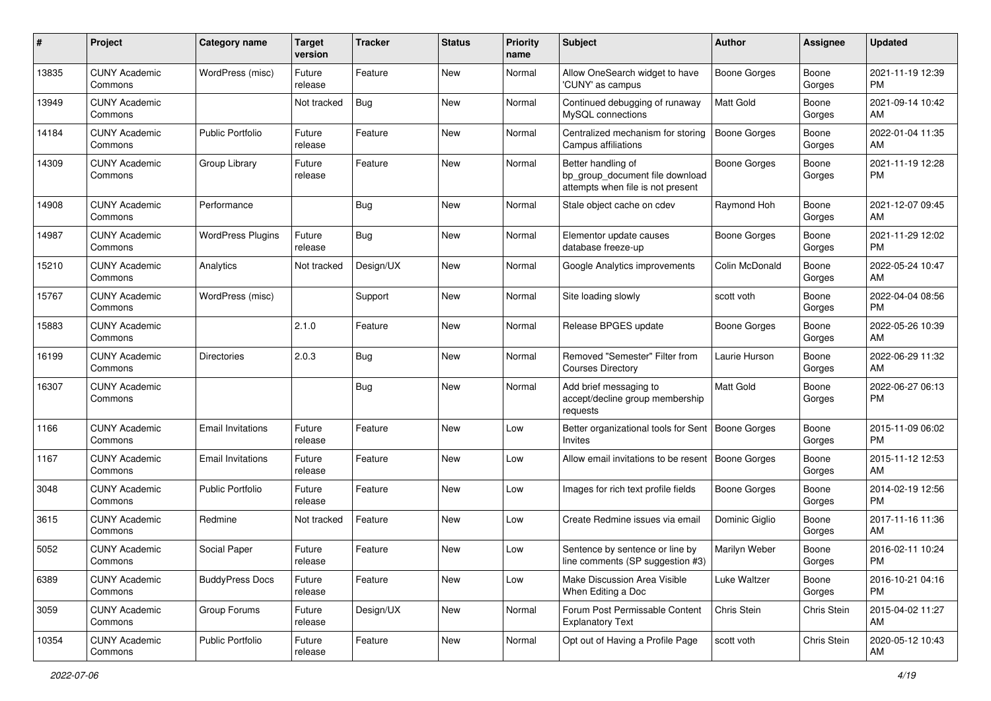| #     | Project                         | <b>Category name</b>     | <b>Target</b><br>version | <b>Tracker</b> | <b>Status</b> | <b>Priority</b><br>name | Subject                                                                                    | <b>Author</b>       | <b>Assignee</b> | <b>Updated</b>                |
|-------|---------------------------------|--------------------------|--------------------------|----------------|---------------|-------------------------|--------------------------------------------------------------------------------------------|---------------------|-----------------|-------------------------------|
| 13835 | <b>CUNY Academic</b><br>Commons | WordPress (misc)         | Future<br>release        | Feature        | New           | Normal                  | Allow OneSearch widget to have<br>'CUNY' as campus                                         | <b>Boone Gorges</b> | Boone<br>Gorges | 2021-11-19 12:39<br><b>PM</b> |
| 13949 | <b>CUNY Academic</b><br>Commons |                          | Not tracked              | Bug            | New           | Normal                  | Continued debugging of runaway<br>MySQL connections                                        | <b>Matt Gold</b>    | Boone<br>Gorges | 2021-09-14 10:42<br>AM        |
| 14184 | <b>CUNY Academic</b><br>Commons | <b>Public Portfolio</b>  | Future<br>release        | Feature        | New           | Normal                  | Centralized mechanism for storing<br>Campus affiliations                                   | <b>Boone Gorges</b> | Boone<br>Gorges | 2022-01-04 11:35<br>AM        |
| 14309 | <b>CUNY Academic</b><br>Commons | Group Library            | Future<br>release        | Feature        | New           | Normal                  | Better handling of<br>bp_group_document file download<br>attempts when file is not present | <b>Boone Gorges</b> | Boone<br>Gorges | 2021-11-19 12:28<br>PM        |
| 14908 | <b>CUNY Academic</b><br>Commons | Performance              |                          | Bug            | New           | Normal                  | Stale object cache on cdev                                                                 | Raymond Hoh         | Boone<br>Gorges | 2021-12-07 09:45<br>AM        |
| 14987 | <b>CUNY Academic</b><br>Commons | <b>WordPress Plugins</b> | Future<br>release        | <b>Bug</b>     | New           | Normal                  | Elementor update causes<br>database freeze-up                                              | Boone Gorges        | Boone<br>Gorges | 2021-11-29 12:02<br><b>PM</b> |
| 15210 | <b>CUNY Academic</b><br>Commons | Analytics                | Not tracked              | Design/UX      | New           | Normal                  | Google Analytics improvements                                                              | Colin McDonald      | Boone<br>Gorges | 2022-05-24 10:47<br>AM        |
| 15767 | <b>CUNY Academic</b><br>Commons | WordPress (misc)         |                          | Support        | New           | Normal                  | Site loading slowly                                                                        | scott voth          | Boone<br>Gorges | 2022-04-04 08:56<br><b>PM</b> |
| 15883 | <b>CUNY Academic</b><br>Commons |                          | 2.1.0                    | Feature        | New           | Normal                  | Release BPGES update                                                                       | <b>Boone Gorges</b> | Boone<br>Gorges | 2022-05-26 10:39<br>AM        |
| 16199 | <b>CUNY Academic</b><br>Commons | <b>Directories</b>       | 2.0.3                    | <b>Bug</b>     | New           | Normal                  | Removed "Semester" Filter from<br><b>Courses Directory</b>                                 | Laurie Hurson       | Boone<br>Gorges | 2022-06-29 11:32<br>AM        |
| 16307 | <b>CUNY Academic</b><br>Commons |                          |                          | Bug            | New           | Normal                  | Add brief messaging to<br>accept/decline group membership<br>requests                      | Matt Gold           | Boone<br>Gorges | 2022-06-27 06:13<br><b>PM</b> |
| 1166  | <b>CUNY Academic</b><br>Commons | <b>Email Invitations</b> | Future<br>release        | Feature        | New           | Low                     | Better organizational tools for Sent<br>Invites                                            | Boone Gorges        | Boone<br>Gorges | 2015-11-09 06:02<br><b>PM</b> |
| 1167  | <b>CUNY Academic</b><br>Commons | <b>Email Invitations</b> | Future<br>release        | Feature        | New           | Low                     | Allow email invitations to be resent                                                       | Boone Gorges        | Boone<br>Gorges | 2015-11-12 12:53<br>AM        |
| 3048  | <b>CUNY Academic</b><br>Commons | <b>Public Portfolio</b>  | Future<br>release        | Feature        | New           | Low                     | Images for rich text profile fields                                                        | Boone Gorges        | Boone<br>Gorges | 2014-02-19 12:56<br><b>PM</b> |
| 3615  | <b>CUNY Academic</b><br>Commons | Redmine                  | Not tracked              | Feature        | New           | Low                     | Create Redmine issues via email                                                            | Dominic Giglio      | Boone<br>Gorges | 2017-11-16 11:36<br>AM        |
| 5052  | <b>CUNY Academic</b><br>Commons | Social Paper             | Future<br>release        | Feature        | New           | Low                     | Sentence by sentence or line by<br>line comments (SP suggestion #3)                        | Marilyn Weber       | Boone<br>Gorges | 2016-02-11 10:24<br>PM        |
| 6389  | <b>CUNY Academic</b><br>Commons | <b>BuddyPress Docs</b>   | Future<br>release        | Feature        | New           | Low                     | Make Discussion Area Visible<br>When Editing a Doc                                         | Luke Waltzer        | Boone<br>Gorges | 2016-10-21 04:16<br>PM        |
| 3059  | <b>CUNY Academic</b><br>Commons | Group Forums             | Future<br>release        | Design/UX      | New           | Normal                  | Forum Post Permissable Content<br><b>Explanatory Text</b>                                  | Chris Stein         | Chris Stein     | 2015-04-02 11:27<br>AM        |
| 10354 | <b>CUNY Academic</b><br>Commons | Public Portfolio         | Future<br>release        | Feature        | New           | Normal                  | Opt out of Having a Profile Page                                                           | scott voth          | Chris Stein     | 2020-05-12 10:43<br>AM        |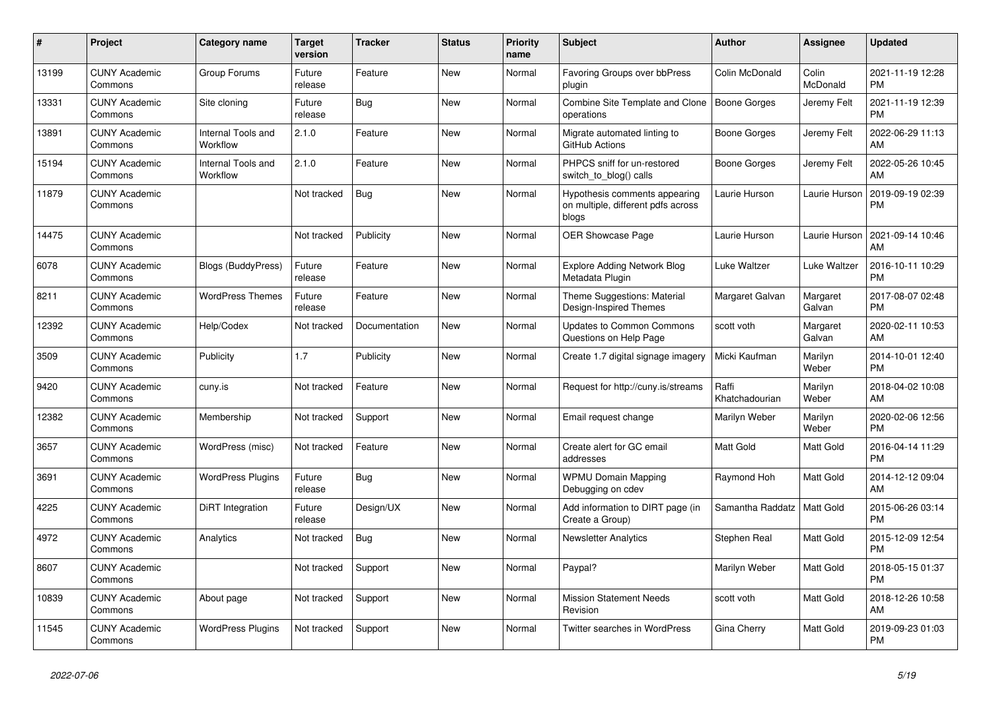| #     | Project                         | <b>Category name</b>           | <b>Target</b><br>version | <b>Tracker</b> | <b>Status</b> | <b>Priority</b><br>name | <b>Subject</b>                                                               | Author                  | Assignee           | <b>Updated</b>                |
|-------|---------------------------------|--------------------------------|--------------------------|----------------|---------------|-------------------------|------------------------------------------------------------------------------|-------------------------|--------------------|-------------------------------|
| 13199 | <b>CUNY Academic</b><br>Commons | Group Forums                   | Future<br>release        | Feature        | <b>New</b>    | Normal                  | Favoring Groups over bbPress<br>plugin                                       | Colin McDonald          | Colin<br>McDonald  | 2021-11-19 12:28<br><b>PM</b> |
| 13331 | <b>CUNY Academic</b><br>Commons | Site cloning                   | Future<br>release        | Bug            | New           | Normal                  | Combine Site Template and Clone<br>operations                                | Boone Gorges            | Jeremy Felt        | 2021-11-19 12:39<br><b>PM</b> |
| 13891 | <b>CUNY Academic</b><br>Commons | Internal Tools and<br>Workflow | 2.1.0                    | Feature        | New           | Normal                  | Migrate automated linting to<br>GitHub Actions                               | Boone Gorges            | Jeremy Felt        | 2022-06-29 11:13<br>AM        |
| 15194 | <b>CUNY Academic</b><br>Commons | Internal Tools and<br>Workflow | 2.1.0                    | Feature        | <b>New</b>    | Normal                  | PHPCS sniff for un-restored<br>switch_to_blog() calls                        | Boone Gorges            | Jeremy Felt        | 2022-05-26 10:45<br>AM        |
| 11879 | <b>CUNY Academic</b><br>Commons |                                | Not tracked              | Bug            | New           | Normal                  | Hypothesis comments appearing<br>on multiple, different pdfs across<br>blogs | Laurie Hurson           | Laurie Hurson      | 2019-09-19 02:39<br><b>PM</b> |
| 14475 | <b>CUNY Academic</b><br>Commons |                                | Not tracked              | Publicity      | <b>New</b>    | Normal                  | <b>OER Showcase Page</b>                                                     | Laurie Hurson           | Laurie Hurson      | 2021-09-14 10:46<br>AM        |
| 6078  | <b>CUNY Academic</b><br>Commons | Blogs (BuddyPress)             | Future<br>release        | Feature        | New           | Normal                  | <b>Explore Adding Network Blog</b><br>Metadata Plugin                        | Luke Waltzer            | Luke Waltzer       | 2016-10-11 10:29<br><b>PM</b> |
| 8211  | <b>CUNY Academic</b><br>Commons | <b>WordPress Themes</b>        | Future<br>release        | Feature        | <b>New</b>    | Normal                  | Theme Suggestions: Material<br>Design-Inspired Themes                        | Margaret Galvan         | Margaret<br>Galvan | 2017-08-07 02:48<br><b>PM</b> |
| 12392 | <b>CUNY Academic</b><br>Commons | Help/Codex                     | Not tracked              | Documentation  | New           | Normal                  | <b>Updates to Common Commons</b><br>Questions on Help Page                   | scott voth              | Margaret<br>Galvan | 2020-02-11 10:53<br>AM        |
| 3509  | <b>CUNY Academic</b><br>Commons | Publicity                      | 1.7                      | Publicity      | New           | Normal                  | Create 1.7 digital signage imagery                                           | Micki Kaufman           | Marilyn<br>Weber   | 2014-10-01 12:40<br><b>PM</b> |
| 9420  | <b>CUNY Academic</b><br>Commons | cuny.is                        | Not tracked              | Feature        | New           | Normal                  | Request for http://cuny.is/streams                                           | Raffi<br>Khatchadourian | Marilyn<br>Weber   | 2018-04-02 10:08<br>AM        |
| 12382 | <b>CUNY Academic</b><br>Commons | Membership                     | Not tracked              | Support        | <b>New</b>    | Normal                  | Email request change                                                         | Marilyn Weber           | Marilyn<br>Weber   | 2020-02-06 12:56<br><b>PM</b> |
| 3657  | <b>CUNY Academic</b><br>Commons | WordPress (misc)               | Not tracked              | Feature        | <b>New</b>    | Normal                  | Create alert for GC email<br>addresses                                       | <b>Matt Gold</b>        | Matt Gold          | 2016-04-14 11:29<br><b>PM</b> |
| 3691  | <b>CUNY Academic</b><br>Commons | <b>WordPress Plugins</b>       | Future<br>release        | Bug            | New           | Normal                  | <b>WPMU Domain Mapping</b><br>Debugging on cdev                              | Raymond Hoh             | Matt Gold          | 2014-12-12 09:04<br>AM        |
| 4225  | <b>CUNY Academic</b><br>Commons | DiRT Integration               | Future<br>release        | Design/UX      | <b>New</b>    | Normal                  | Add information to DIRT page (in<br>Create a Group)                          | Samantha Raddatz        | Matt Gold          | 2015-06-26 03:14<br><b>PM</b> |
| 4972  | <b>CUNY Academic</b><br>Commons | Analytics                      | Not tracked              | <b>Bug</b>     | New           | Normal                  | <b>Newsletter Analytics</b>                                                  | Stephen Real            | Matt Gold          | 2015-12-09 12:54<br><b>PM</b> |
| 8607  | <b>CUNY Academic</b><br>Commons |                                | Not tracked              | Support        | New           | Normal                  | Paypal?                                                                      | Marilyn Weber           | Matt Gold          | 2018-05-15 01:37<br><b>PM</b> |
| 10839 | <b>CUNY Academic</b><br>Commons | About page                     | Not tracked              | Support        | <b>New</b>    | Normal                  | <b>Mission Statement Needs</b><br>Revision                                   | scott voth              | Matt Gold          | 2018-12-26 10:58<br>AM        |
| 11545 | <b>CUNY Academic</b><br>Commons | <b>WordPress Plugins</b>       | Not tracked              | Support        | <b>New</b>    | Normal                  | <b>Twitter searches in WordPress</b>                                         | Gina Cherry             | Matt Gold          | 2019-09-23 01:03<br><b>PM</b> |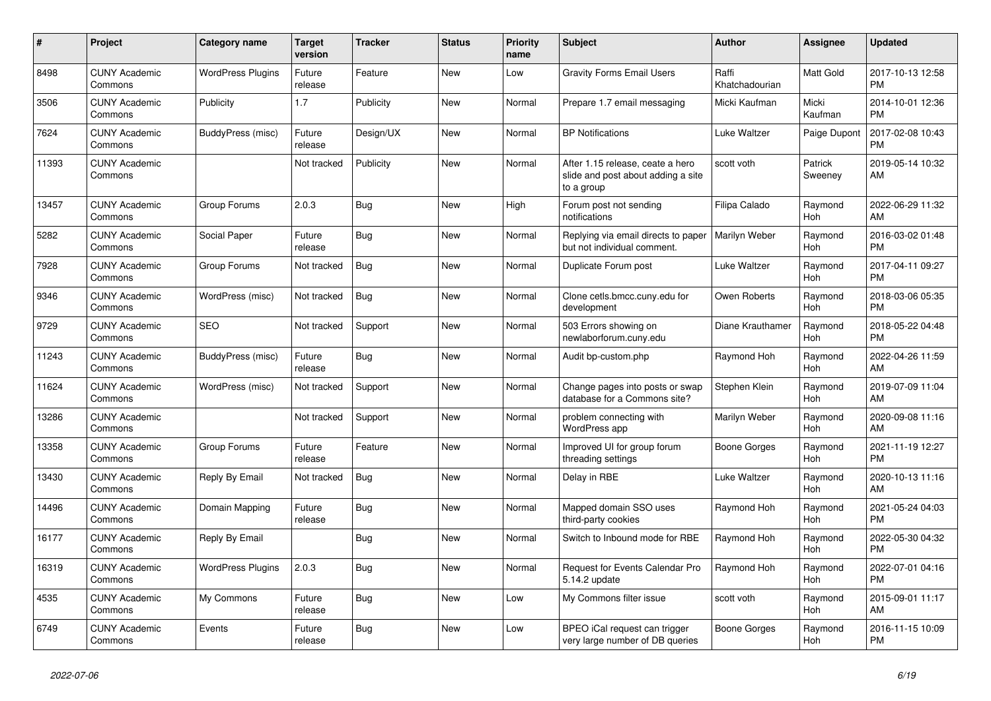| #     | Project                         | <b>Category name</b>     | <b>Target</b><br>version | <b>Tracker</b> | <b>Status</b> | <b>Priority</b><br>name | <b>Subject</b>                                                                       | Author                  | Assignee           | <b>Updated</b>                |
|-------|---------------------------------|--------------------------|--------------------------|----------------|---------------|-------------------------|--------------------------------------------------------------------------------------|-------------------------|--------------------|-------------------------------|
| 8498  | <b>CUNY Academic</b><br>Commons | <b>WordPress Plugins</b> | Future<br>release        | Feature        | <b>New</b>    | Low                     | <b>Gravity Forms Email Users</b>                                                     | Raffi<br>Khatchadourian | Matt Gold          | 2017-10-13 12:58<br><b>PM</b> |
| 3506  | <b>CUNY Academic</b><br>Commons | Publicity                | 1.7                      | Publicity      | <b>New</b>    | Normal                  | Prepare 1.7 email messaging                                                          | Micki Kaufman           | Micki<br>Kaufman   | 2014-10-01 12:36<br><b>PM</b> |
| 7624  | <b>CUNY Academic</b><br>Commons | BuddyPress (misc)        | Future<br>release        | Design/UX      | New           | Normal                  | <b>BP</b> Notifications                                                              | Luke Waltzer            | Paige Dupont       | 2017-02-08 10:43<br><b>PM</b> |
| 11393 | <b>CUNY Academic</b><br>Commons |                          | Not tracked              | Publicity      | <b>New</b>    | Normal                  | After 1.15 release, ceate a hero<br>slide and post about adding a site<br>to a group | scott voth              | Patrick<br>Sweeney | 2019-05-14 10:32<br>AM        |
| 13457 | <b>CUNY Academic</b><br>Commons | Group Forums             | 2.0.3                    | Bug            | New           | High                    | Forum post not sending<br>notifications                                              | Filipa Calado           | Raymond<br>Hoh     | 2022-06-29 11:32<br>AM        |
| 5282  | <b>CUNY Academic</b><br>Commons | Social Paper             | Future<br>release        | Bug            | New           | Normal                  | Replying via email directs to paper<br>but not individual comment.                   | Marilyn Weber           | Raymond<br>Hoh     | 2016-03-02 01:48<br><b>PM</b> |
| 7928  | <b>CUNY Academic</b><br>Commons | Group Forums             | Not tracked              | Bug            | <b>New</b>    | Normal                  | Duplicate Forum post                                                                 | Luke Waltzer            | Raymond<br>Hoh     | 2017-04-11 09:27<br><b>PM</b> |
| 9346  | <b>CUNY Academic</b><br>Commons | WordPress (misc)         | Not tracked              | Bug            | New           | Normal                  | Clone cetls.bmcc.cuny.edu for<br>development                                         | Owen Roberts            | Raymond<br>Hoh     | 2018-03-06 05:35<br><b>PM</b> |
| 9729  | <b>CUNY Academic</b><br>Commons | SEO                      | Not tracked              | Support        | New           | Normal                  | 503 Errors showing on<br>newlaborforum.cuny.edu                                      | Diane Krauthamer        | Raymond<br>Hoh     | 2018-05-22 04:48<br><b>PM</b> |
| 11243 | <b>CUNY Academic</b><br>Commons | BuddyPress (misc)        | Future<br>release        | Bug            | <b>New</b>    | Normal                  | Audit bp-custom.php                                                                  | Raymond Hoh             | Raymond<br>Hoh     | 2022-04-26 11:59<br>AM        |
| 11624 | <b>CUNY Academic</b><br>Commons | WordPress (misc)         | Not tracked              | Support        | <b>New</b>    | Normal                  | Change pages into posts or swap<br>database for a Commons site?                      | Stephen Klein           | Raymond<br>Hoh     | 2019-07-09 11:04<br>AM        |
| 13286 | <b>CUNY Academic</b><br>Commons |                          | Not tracked              | Support        | New           | Normal                  | problem connecting with<br>WordPress app                                             | Marilyn Weber           | Raymond<br>Hoh     | 2020-09-08 11:16<br>AM        |
| 13358 | <b>CUNY Academic</b><br>Commons | Group Forums             | Future<br>release        | Feature        | <b>New</b>    | Normal                  | Improved UI for group forum<br>threading settings                                    | Boone Gorges            | Raymond<br>Hoh     | 2021-11-19 12:27<br><b>PM</b> |
| 13430 | <b>CUNY Academic</b><br>Commons | Reply By Email           | Not tracked              | Bug            | <b>New</b>    | Normal                  | Delay in RBE                                                                         | Luke Waltzer            | Raymond<br>Hoh     | 2020-10-13 11:16<br>AM        |
| 14496 | <b>CUNY Academic</b><br>Commons | Domain Mapping           | Future<br>release        | Bug            | New           | Normal                  | Mapped domain SSO uses<br>third-party cookies                                        | Raymond Hoh             | Raymond<br>Hoh     | 2021-05-24 04:03<br><b>PM</b> |
| 16177 | <b>CUNY Academic</b><br>Commons | Reply By Email           |                          | Bug            | <b>New</b>    | Normal                  | Switch to Inbound mode for RBE                                                       | Raymond Hoh             | Raymond<br>Hoh     | 2022-05-30 04:32<br><b>PM</b> |
| 16319 | <b>CUNY Academic</b><br>Commons | <b>WordPress Plugins</b> | 2.0.3                    | Bug            | <b>New</b>    | Normal                  | Request for Events Calendar Pro<br>5.14.2 update                                     | Raymond Hoh             | Raymond<br>Hoh     | 2022-07-01 04:16<br><b>PM</b> |
| 4535  | <b>CUNY Academic</b><br>Commons | My Commons               | Future<br>release        | Bug            | New           | Low                     | My Commons filter issue                                                              | scott voth              | Raymond<br>Hoh     | 2015-09-01 11:17<br>AM        |
| 6749  | <b>CUNY Academic</b><br>Commons | Events                   | Future<br>release        | Bug            | New           | Low                     | BPEO iCal request can trigger<br>very large number of DB queries                     | Boone Gorges            | Raymond<br>Hoh     | 2016-11-15 10:09<br><b>PM</b> |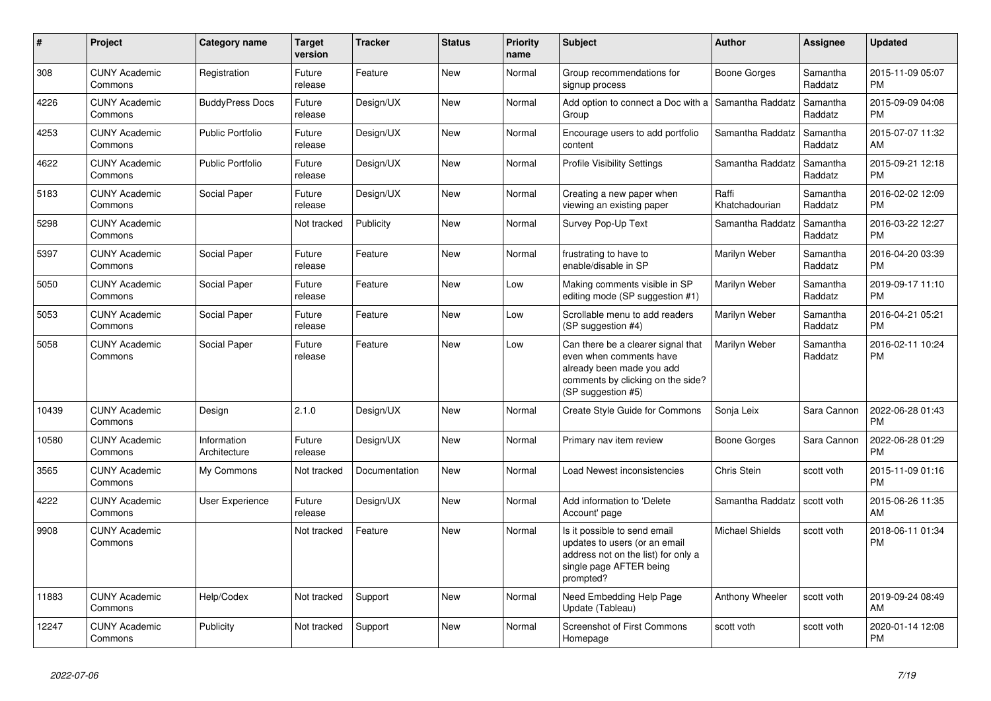| $\#$  | Project                         | <b>Category name</b>        | <b>Target</b><br>version | <b>Tracker</b> | <b>Status</b> | <b>Priority</b><br>name | <b>Subject</b>                                                                                                                                        | Author                  | Assignee            | <b>Updated</b>                |
|-------|---------------------------------|-----------------------------|--------------------------|----------------|---------------|-------------------------|-------------------------------------------------------------------------------------------------------------------------------------------------------|-------------------------|---------------------|-------------------------------|
| 308   | <b>CUNY Academic</b><br>Commons | Registration                | Future<br>release        | Feature        | <b>New</b>    | Normal                  | Group recommendations for<br>signup process                                                                                                           | Boone Gorges            | Samantha<br>Raddatz | 2015-11-09 05:07<br><b>PM</b> |
| 4226  | <b>CUNY Academic</b><br>Commons | <b>BuddyPress Docs</b>      | Future<br>release        | Design/UX      | <b>New</b>    | Normal                  | Add option to connect a Doc with a<br>Group                                                                                                           | Samantha Raddatz        | Samantha<br>Raddatz | 2015-09-09 04:08<br><b>PM</b> |
| 4253  | <b>CUNY Academic</b><br>Commons | <b>Public Portfolio</b>     | Future<br>release        | Design/UX      | New           | Normal                  | Encourage users to add portfolio<br>content                                                                                                           | Samantha Raddatz        | Samantha<br>Raddatz | 2015-07-07 11:32<br>AM        |
| 4622  | <b>CUNY Academic</b><br>Commons | <b>Public Portfolio</b>     | Future<br>release        | Design/UX      | <b>New</b>    | Normal                  | <b>Profile Visibility Settings</b>                                                                                                                    | Samantha Raddatz        | Samantha<br>Raddatz | 2015-09-21 12:18<br><b>PM</b> |
| 5183  | <b>CUNY Academic</b><br>Commons | Social Paper                | Future<br>release        | Design/UX      | <b>New</b>    | Normal                  | Creating a new paper when<br>viewing an existing paper                                                                                                | Raffi<br>Khatchadourian | Samantha<br>Raddatz | 2016-02-02 12:09<br><b>PM</b> |
| 5298  | <b>CUNY Academic</b><br>Commons |                             | Not tracked              | Publicity      | New           | Normal                  | Survey Pop-Up Text                                                                                                                                    | Samantha Raddatz        | Samantha<br>Raddatz | 2016-03-22 12:27<br><b>PM</b> |
| 5397  | <b>CUNY Academic</b><br>Commons | Social Paper                | Future<br>release        | Feature        | New           | Normal                  | frustrating to have to<br>enable/disable in SP                                                                                                        | Marilyn Weber           | Samantha<br>Raddatz | 2016-04-20 03:39<br><b>PM</b> |
| 5050  | <b>CUNY Academic</b><br>Commons | Social Paper                | Future<br>release        | Feature        | <b>New</b>    | Low                     | Making comments visible in SP<br>editing mode (SP suggestion #1)                                                                                      | Marilyn Weber           | Samantha<br>Raddatz | 2019-09-17 11:10<br><b>PM</b> |
| 5053  | <b>CUNY Academic</b><br>Commons | Social Paper                | Future<br>release        | Feature        | New           | Low                     | Scrollable menu to add readers<br>(SP suggestion #4)                                                                                                  | Marilyn Weber           | Samantha<br>Raddatz | 2016-04-21 05:21<br><b>PM</b> |
| 5058  | <b>CUNY Academic</b><br>Commons | Social Paper                | Future<br>release        | Feature        | New           | Low                     | Can there be a clearer signal that<br>even when comments have<br>already been made you add<br>comments by clicking on the side?<br>(SP suggestion #5) | Marilyn Weber           | Samantha<br>Raddatz | 2016-02-11 10:24<br><b>PM</b> |
| 10439 | <b>CUNY Academic</b><br>Commons | Design                      | 2.1.0                    | Design/UX      | New           | Normal                  | Create Style Guide for Commons                                                                                                                        | Sonja Leix              | Sara Cannon         | 2022-06-28 01:43<br><b>PM</b> |
| 10580 | <b>CUNY Academic</b><br>Commons | Information<br>Architecture | Future<br>release        | Design/UX      | <b>New</b>    | Normal                  | Primary nav item review                                                                                                                               | Boone Gorges            | Sara Cannon         | 2022-06-28 01:29<br><b>PM</b> |
| 3565  | <b>CUNY Academic</b><br>Commons | My Commons                  | Not tracked              | Documentation  | New           | Normal                  | Load Newest inconsistencies                                                                                                                           | Chris Stein             | scott voth          | 2015-11-09 01:16<br><b>PM</b> |
| 4222  | <b>CUNY Academic</b><br>Commons | <b>User Experience</b>      | Future<br>release        | Design/UX      | New           | Normal                  | Add information to 'Delete<br>Account' page                                                                                                           | Samantha Raddatz        | scott voth          | 2015-06-26 11:35<br>AM        |
| 9908  | <b>CUNY Academic</b><br>Commons |                             | Not tracked              | Feature        | <b>New</b>    | Normal                  | Is it possible to send email<br>updates to users (or an email<br>address not on the list) for only a<br>single page AFTER being<br>prompted?          | <b>Michael Shields</b>  | scott voth          | 2018-06-11 01:34<br><b>PM</b> |
| 11883 | <b>CUNY Academic</b><br>Commons | Help/Codex                  | Not tracked              | Support        | <b>New</b>    | Normal                  | Need Embedding Help Page<br>Update (Tableau)                                                                                                          | Anthony Wheeler         | scott voth          | 2019-09-24 08:49<br>AM        |
| 12247 | <b>CUNY Academic</b><br>Commons | Publicity                   | Not tracked              | Support        | New           | Normal                  | <b>Screenshot of First Commons</b><br>Homepage                                                                                                        | scott voth              | scott voth          | 2020-01-14 12:08<br><b>PM</b> |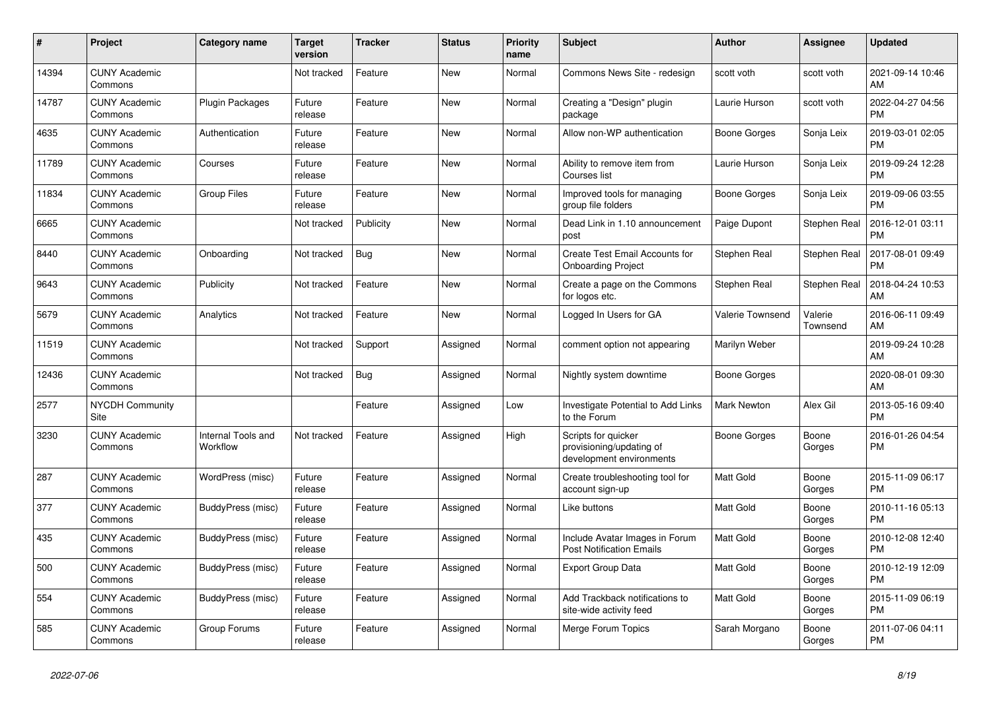| #     | <b>Project</b>                  | Category name                  | <b>Target</b><br>version | <b>Tracker</b> | <b>Status</b> | <b>Priority</b><br>name | <b>Subject</b>                                                              | <b>Author</b>      | Assignee            | <b>Updated</b>                |
|-------|---------------------------------|--------------------------------|--------------------------|----------------|---------------|-------------------------|-----------------------------------------------------------------------------|--------------------|---------------------|-------------------------------|
| 14394 | <b>CUNY Academic</b><br>Commons |                                | Not tracked              | Feature        | New           | Normal                  | Commons News Site - redesign                                                | scott voth         | scott voth          | 2021-09-14 10:46<br>AM        |
| 14787 | <b>CUNY Academic</b><br>Commons | <b>Plugin Packages</b>         | Future<br>release        | Feature        | New           | Normal                  | Creating a "Design" plugin<br>package                                       | Laurie Hurson      | scott voth          | 2022-04-27 04:56<br><b>PM</b> |
| 4635  | <b>CUNY Academic</b><br>Commons | Authentication                 | Future<br>release        | Feature        | New           | Normal                  | Allow non-WP authentication                                                 | Boone Gorges       | Sonja Leix          | 2019-03-01 02:05<br><b>PM</b> |
| 11789 | <b>CUNY Academic</b><br>Commons | Courses                        | Future<br>release        | Feature        | <b>New</b>    | Normal                  | Ability to remove item from<br>Courses list                                 | Laurie Hurson      | Sonja Leix          | 2019-09-24 12:28<br><b>PM</b> |
| 11834 | <b>CUNY Academic</b><br>Commons | <b>Group Files</b>             | Future<br>release        | Feature        | New           | Normal                  | Improved tools for managing<br>group file folders                           | Boone Gorges       | Sonja Leix          | 2019-09-06 03:55<br><b>PM</b> |
| 6665  | <b>CUNY Academic</b><br>Commons |                                | Not tracked              | Publicity      | New           | Normal                  | Dead Link in 1.10 announcement<br>post                                      | Paige Dupont       | Stephen Real        | 2016-12-01 03:11<br><b>PM</b> |
| 8440  | <b>CUNY Academic</b><br>Commons | Onboarding                     | Not tracked              | Bug            | New           | Normal                  | Create Test Email Accounts for<br><b>Onboarding Project</b>                 | Stephen Real       | Stephen Real        | 2017-08-01 09:49<br><b>PM</b> |
| 9643  | <b>CUNY Academic</b><br>Commons | Publicity                      | Not tracked              | Feature        | <b>New</b>    | Normal                  | Create a page on the Commons<br>for logos etc.                              | Stephen Real       | Stephen Real        | 2018-04-24 10:53<br>AM        |
| 5679  | <b>CUNY Academic</b><br>Commons | Analytics                      | Not tracked              | Feature        | New           | Normal                  | Logged In Users for GA                                                      | Valerie Townsend   | Valerie<br>Townsend | 2016-06-11 09:49<br>AM        |
| 11519 | <b>CUNY Academic</b><br>Commons |                                | Not tracked              | Support        | Assigned      | Normal                  | comment option not appearing                                                | Marilyn Weber      |                     | 2019-09-24 10:28<br>AM        |
| 12436 | <b>CUNY Academic</b><br>Commons |                                | Not tracked              | <b>Bug</b>     | Assigned      | Normal                  | Nightly system downtime                                                     | Boone Gorges       |                     | 2020-08-01 09:30<br>AM        |
| 2577  | <b>NYCDH Community</b><br>Site  |                                |                          | Feature        | Assigned      | Low                     | Investigate Potential to Add Links<br>to the Forum                          | <b>Mark Newton</b> | Alex Gil            | 2013-05-16 09:40<br><b>PM</b> |
| 3230  | <b>CUNY Academic</b><br>Commons | Internal Tools and<br>Workflow | Not tracked              | Feature        | Assigned      | High                    | Scripts for quicker<br>provisioning/updating of<br>development environments | Boone Gorges       | Boone<br>Gorges     | 2016-01-26 04:54<br><b>PM</b> |
| 287   | <b>CUNY Academic</b><br>Commons | WordPress (misc)               | Future<br>release        | Feature        | Assigned      | Normal                  | Create troubleshooting tool for<br>account sign-up                          | <b>Matt Gold</b>   | Boone<br>Gorges     | 2015-11-09 06:17<br><b>PM</b> |
| 377   | <b>CUNY Academic</b><br>Commons | BuddyPress (misc)              | Future<br>release        | Feature        | Assigned      | Normal                  | Like buttons                                                                | <b>Matt Gold</b>   | Boone<br>Gorges     | 2010-11-16 05:13<br><b>PM</b> |
| 435   | <b>CUNY Academic</b><br>Commons | BuddyPress (misc)              | Future<br>release        | Feature        | Assigned      | Normal                  | Include Avatar Images in Forum<br><b>Post Notification Emails</b>           | <b>Matt Gold</b>   | Boone<br>Gorges     | 2010-12-08 12:40<br><b>PM</b> |
| 500   | <b>CUNY Academic</b><br>Commons | BuddyPress (misc)              | Future<br>release        | Feature        | Assigned      | Normal                  | <b>Export Group Data</b>                                                    | <b>Matt Gold</b>   | Boone<br>Gorges     | 2010-12-19 12:09<br><b>PM</b> |
| 554   | <b>CUNY Academic</b><br>Commons | BuddyPress (misc)              | Future<br>release        | Feature        | Assigned      | Normal                  | Add Trackback notifications to<br>site-wide activity feed                   | <b>Matt Gold</b>   | Boone<br>Gorges     | 2015-11-09 06:19<br><b>PM</b> |
| 585   | <b>CUNY Academic</b><br>Commons | Group Forums                   | Future<br>release        | Feature        | Assigned      | Normal                  | Merge Forum Topics                                                          | Sarah Morgano      | Boone<br>Gorges     | 2011-07-06 04:11<br><b>PM</b> |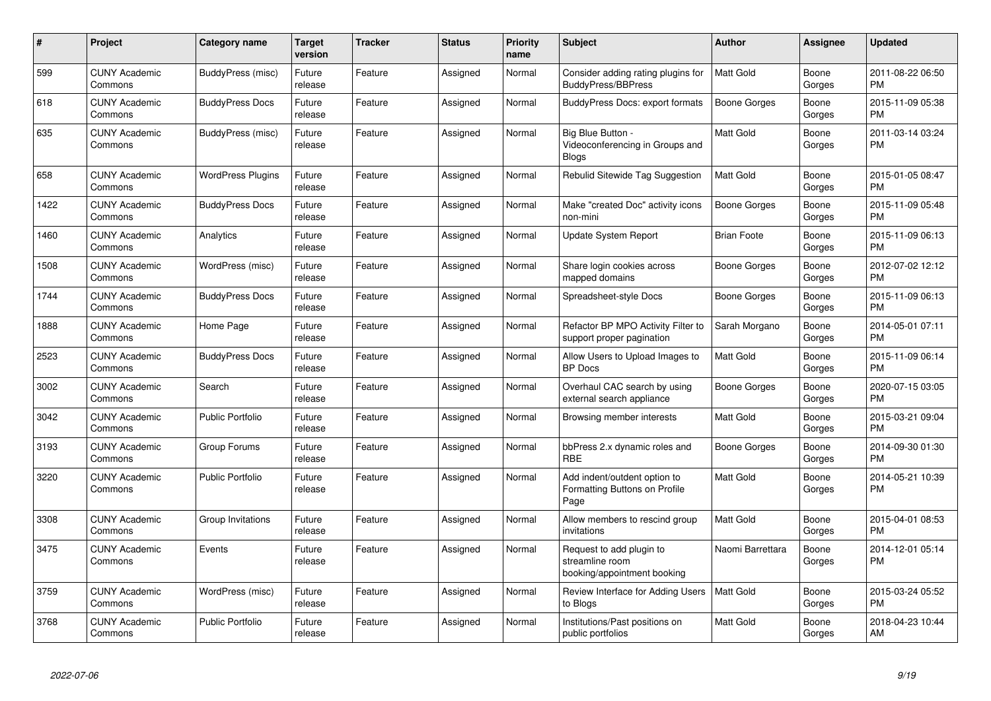| #    | Project                         | <b>Category name</b>     | <b>Target</b><br>version | <b>Tracker</b> | <b>Status</b> | <b>Priority</b><br>name | <b>Subject</b>                                                             | <b>Author</b>       | Assignee        | <b>Updated</b>                |
|------|---------------------------------|--------------------------|--------------------------|----------------|---------------|-------------------------|----------------------------------------------------------------------------|---------------------|-----------------|-------------------------------|
| 599  | <b>CUNY Academic</b><br>Commons | BuddyPress (misc)        | Future<br>release        | Feature        | Assigned      | Normal                  | Consider adding rating plugins for<br><b>BuddyPress/BBPress</b>            | <b>Matt Gold</b>    | Boone<br>Gorges | 2011-08-22 06:50<br><b>PM</b> |
| 618  | <b>CUNY Academic</b><br>Commons | <b>BuddyPress Docs</b>   | Future<br>release        | Feature        | Assigned      | Normal                  | <b>BuddyPress Docs: export formats</b>                                     | <b>Boone Gorges</b> | Boone<br>Gorges | 2015-11-09 05:38<br><b>PM</b> |
| 635  | <b>CUNY Academic</b><br>Commons | BuddyPress (misc)        | Future<br>release        | Feature        | Assigned      | Normal                  | Big Blue Button -<br>Videoconferencing in Groups and<br><b>Blogs</b>       | Matt Gold           | Boone<br>Gorges | 2011-03-14 03:24<br><b>PM</b> |
| 658  | <b>CUNY Academic</b><br>Commons | <b>WordPress Plugins</b> | Future<br>release        | Feature        | Assigned      | Normal                  | Rebulid Sitewide Tag Suggestion                                            | <b>Matt Gold</b>    | Boone<br>Gorges | 2015-01-05 08:47<br><b>PM</b> |
| 1422 | <b>CUNY Academic</b><br>Commons | <b>BuddyPress Docs</b>   | Future<br>release        | Feature        | Assigned      | Normal                  | Make "created Doc" activity icons<br>non-mini                              | Boone Gorges        | Boone<br>Gorges | 2015-11-09 05:48<br><b>PM</b> |
| 1460 | <b>CUNY Academic</b><br>Commons | Analytics                | Future<br>release        | Feature        | Assigned      | Normal                  | Update System Report                                                       | <b>Brian Foote</b>  | Boone<br>Gorges | 2015-11-09 06:13<br><b>PM</b> |
| 1508 | <b>CUNY Academic</b><br>Commons | WordPress (misc)         | Future<br>release        | Feature        | Assigned      | Normal                  | Share login cookies across<br>mapped domains                               | Boone Gorges        | Boone<br>Gorges | 2012-07-02 12:12<br><b>PM</b> |
| 1744 | <b>CUNY Academic</b><br>Commons | <b>BuddyPress Docs</b>   | Future<br>release        | Feature        | Assigned      | Normal                  | Spreadsheet-style Docs                                                     | Boone Gorges        | Boone<br>Gorges | 2015-11-09 06:13<br><b>PM</b> |
| 1888 | <b>CUNY Academic</b><br>Commons | Home Page                | Future<br>release        | Feature        | Assigned      | Normal                  | Refactor BP MPO Activity Filter to<br>support proper pagination            | Sarah Morgano       | Boone<br>Gorges | 2014-05-01 07:11<br><b>PM</b> |
| 2523 | <b>CUNY Academic</b><br>Commons | <b>BuddyPress Docs</b>   | Future<br>release        | Feature        | Assigned      | Normal                  | Allow Users to Upload Images to<br><b>BP</b> Docs                          | Matt Gold           | Boone<br>Gorges | 2015-11-09 06:14<br><b>PM</b> |
| 3002 | <b>CUNY Academic</b><br>Commons | Search                   | Future<br>release        | Feature        | Assigned      | Normal                  | Overhaul CAC search by using<br>external search appliance                  | Boone Gorges        | Boone<br>Gorges | 2020-07-15 03:05<br><b>PM</b> |
| 3042 | <b>CUNY Academic</b><br>Commons | <b>Public Portfolio</b>  | Future<br>release        | Feature        | Assigned      | Normal                  | Browsing member interests                                                  | Matt Gold           | Boone<br>Gorges | 2015-03-21 09:04<br><b>PM</b> |
| 3193 | <b>CUNY Academic</b><br>Commons | Group Forums             | Future<br>release        | Feature        | Assigned      | Normal                  | bbPress 2.x dynamic roles and<br><b>RBE</b>                                | Boone Gorges        | Boone<br>Gorges | 2014-09-30 01:30<br><b>PM</b> |
| 3220 | <b>CUNY Academic</b><br>Commons | <b>Public Portfolio</b>  | Future<br>release        | Feature        | Assigned      | Normal                  | Add indent/outdent option to<br>Formatting Buttons on Profile<br>Page      | Matt Gold           | Boone<br>Gorges | 2014-05-21 10:39<br><b>PM</b> |
| 3308 | <b>CUNY Academic</b><br>Commons | Group Invitations        | Future<br>release        | Feature        | Assigned      | Normal                  | Allow members to rescind group<br>invitations                              | Matt Gold           | Boone<br>Gorges | 2015-04-01 08:53<br><b>PM</b> |
| 3475 | <b>CUNY Academic</b><br>Commons | Events                   | Future<br>release        | Feature        | Assigned      | Normal                  | Request to add plugin to<br>streamline room<br>booking/appointment booking | Naomi Barrettara    | Boone<br>Gorges | 2014-12-01 05:14<br><b>PM</b> |
| 3759 | <b>CUNY Academic</b><br>Commons | WordPress (misc)         | Future<br>release        | Feature        | Assigned      | Normal                  | Review Interface for Adding Users<br>to Blogs                              | Matt Gold           | Boone<br>Gorges | 2015-03-24 05:52<br><b>PM</b> |
| 3768 | <b>CUNY Academic</b><br>Commons | Public Portfolio         | Future<br>release        | Feature        | Assigned      | Normal                  | Institutions/Past positions on<br>public portfolios                        | Matt Gold           | Boone<br>Gorges | 2018-04-23 10:44<br>AM        |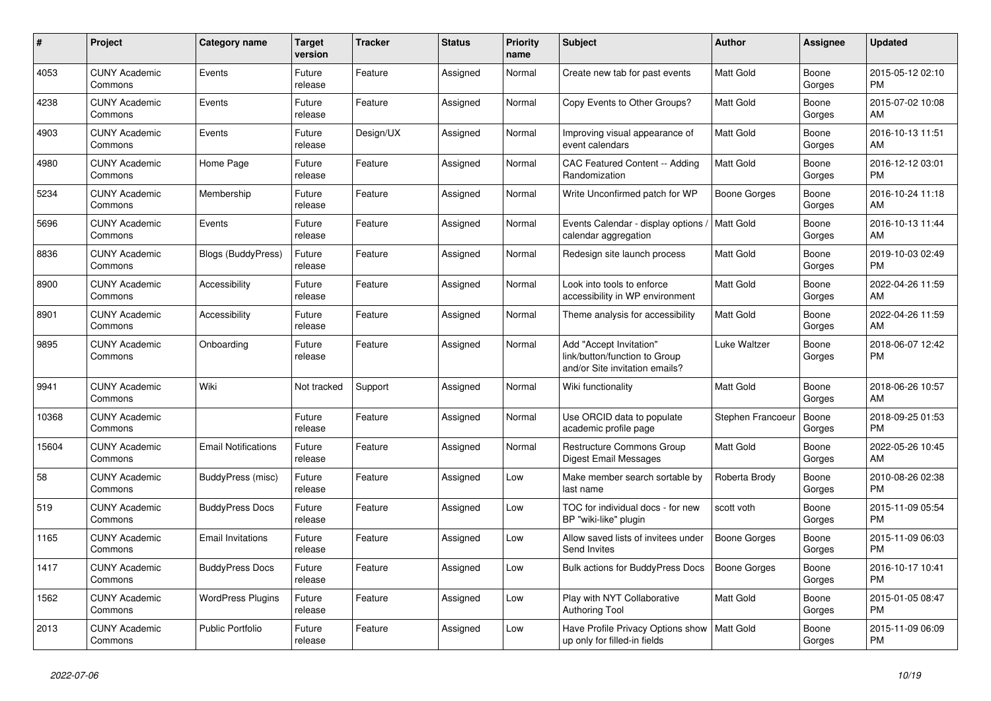| #     | <b>Project</b>                  | <b>Category name</b>       | <b>Target</b><br>version | <b>Tracker</b> | <b>Status</b> | <b>Priority</b><br>name | <b>Subject</b>                                                                             | <b>Author</b>       | Assignee        | <b>Updated</b>                |
|-------|---------------------------------|----------------------------|--------------------------|----------------|---------------|-------------------------|--------------------------------------------------------------------------------------------|---------------------|-----------------|-------------------------------|
| 4053  | <b>CUNY Academic</b><br>Commons | Events                     | Future<br>release        | Feature        | Assigned      | Normal                  | Create new tab for past events                                                             | Matt Gold           | Boone<br>Gorges | 2015-05-12 02:10<br><b>PM</b> |
| 4238  | <b>CUNY Academic</b><br>Commons | Events                     | Future<br>release        | Feature        | Assigned      | Normal                  | Copy Events to Other Groups?                                                               | Matt Gold           | Boone<br>Gorges | 2015-07-02 10:08<br>AM        |
| 4903  | <b>CUNY Academic</b><br>Commons | Events                     | Future<br>release        | Design/UX      | Assigned      | Normal                  | Improving visual appearance of<br>event calendars                                          | Matt Gold           | Boone<br>Gorges | 2016-10-13 11:51<br>AM        |
| 4980  | <b>CUNY Academic</b><br>Commons | Home Page                  | Future<br>release        | Feature        | Assigned      | Normal                  | CAC Featured Content -- Adding<br>Randomization                                            | <b>Matt Gold</b>    | Boone<br>Gorges | 2016-12-12 03:01<br><b>PM</b> |
| 5234  | <b>CUNY Academic</b><br>Commons | Membership                 | Future<br>release        | Feature        | Assigned      | Normal                  | Write Unconfirmed patch for WP                                                             | Boone Gorges        | Boone<br>Gorges | 2016-10-24 11:18<br>AM        |
| 5696  | <b>CUNY Academic</b><br>Commons | Events                     | Future<br>release        | Feature        | Assigned      | Normal                  | Events Calendar - display options<br>calendar aggregation                                  | Matt Gold           | Boone<br>Gorges | 2016-10-13 11:44<br>AM        |
| 8836  | <b>CUNY Academic</b><br>Commons | <b>Blogs (BuddyPress)</b>  | Future<br>release        | Feature        | Assigned      | Normal                  | Redesign site launch process                                                               | <b>Matt Gold</b>    | Boone<br>Gorges | 2019-10-03 02:49<br><b>PM</b> |
| 8900  | <b>CUNY Academic</b><br>Commons | Accessibility              | Future<br>release        | Feature        | Assigned      | Normal                  | Look into tools to enforce<br>accessibility in WP environment                              | Matt Gold           | Boone<br>Gorges | 2022-04-26 11:59<br>AM        |
| 8901  | <b>CUNY Academic</b><br>Commons | Accessibility              | Future<br>release        | Feature        | Assigned      | Normal                  | Theme analysis for accessibility                                                           | Matt Gold           | Boone<br>Gorges | 2022-04-26 11:59<br>AM        |
| 9895  | <b>CUNY Academic</b><br>Commons | Onboarding                 | Future<br>release        | Feature        | Assigned      | Normal                  | Add "Accept Invitation"<br>link/button/function to Group<br>and/or Site invitation emails? | Luke Waltzer        | Boone<br>Gorges | 2018-06-07 12:42<br><b>PM</b> |
| 9941  | <b>CUNY Academic</b><br>Commons | Wiki                       | Not tracked              | Support        | Assigned      | Normal                  | Wiki functionality                                                                         | Matt Gold           | Boone<br>Gorges | 2018-06-26 10:57<br>AM        |
| 10368 | <b>CUNY Academic</b><br>Commons |                            | Future<br>release        | Feature        | Assigned      | Normal                  | Use ORCID data to populate<br>academic profile page                                        | Stephen Francoeur   | Boone<br>Gorges | 2018-09-25 01:53<br><b>PM</b> |
| 15604 | <b>CUNY Academic</b><br>Commons | <b>Email Notifications</b> | Future<br>release        | Feature        | Assigned      | Normal                  | Restructure Commons Group<br><b>Digest Email Messages</b>                                  | Matt Gold           | Boone<br>Gorges | 2022-05-26 10:45<br>AM        |
| 58    | <b>CUNY Academic</b><br>Commons | BuddyPress (misc)          | Future<br>release        | Feature        | Assigned      | Low                     | Make member search sortable by<br>last name                                                | Roberta Brody       | Boone<br>Gorges | 2010-08-26 02:38<br><b>PM</b> |
| 519   | <b>CUNY Academic</b><br>Commons | <b>BuddyPress Docs</b>     | Future<br>release        | Feature        | Assigned      | Low                     | TOC for individual docs - for new<br>BP "wiki-like" plugin                                 | scott voth          | Boone<br>Gorges | 2015-11-09 05:54<br><b>PM</b> |
| 1165  | <b>CUNY Academic</b><br>Commons | <b>Email Invitations</b>   | Future<br>release        | Feature        | Assigned      | Low                     | Allow saved lists of invitees under<br>Send Invites                                        | <b>Boone Gorges</b> | Boone<br>Gorges | 2015-11-09 06:03<br><b>PM</b> |
| 1417  | <b>CUNY Academic</b><br>Commons | <b>BuddyPress Docs</b>     | Future<br>release        | Feature        | Assigned      | Low                     | <b>Bulk actions for BuddyPress Docs</b>                                                    | <b>Boone Gorges</b> | Boone<br>Gorges | 2016-10-17 10:41<br><b>PM</b> |
| 1562  | <b>CUNY Academic</b><br>Commons | <b>WordPress Plugins</b>   | Future<br>release        | Feature        | Assigned      | Low                     | Play with NYT Collaborative<br><b>Authoring Tool</b>                                       | Matt Gold           | Boone<br>Gorges | 2015-01-05 08:47<br><b>PM</b> |
| 2013  | <b>CUNY Academic</b><br>Commons | Public Portfolio           | Future<br>release        | Feature        | Assigned      | Low                     | Have Profile Privacy Options show<br>up only for filled-in fields                          | Matt Gold           | Boone<br>Gorges | 2015-11-09 06:09<br><b>PM</b> |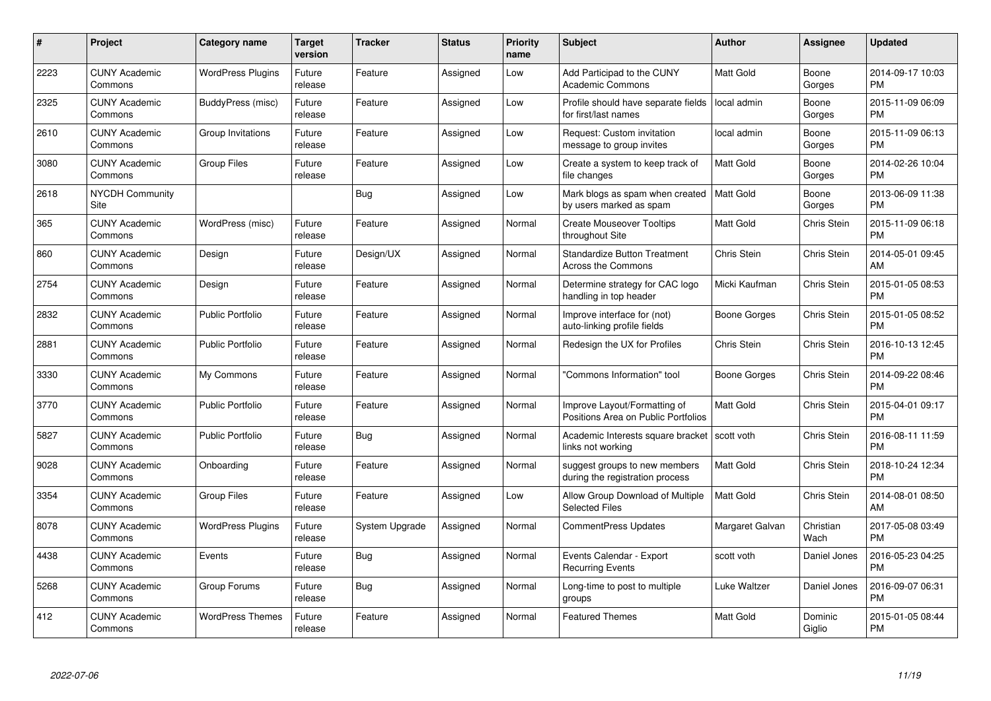| #    | Project                         | <b>Category name</b>     | <b>Target</b><br>version | <b>Tracker</b> | <b>Status</b> | <b>Priority</b><br>name | <b>Subject</b>                                                      | Author           | <b>Assignee</b>    | <b>Updated</b>                |
|------|---------------------------------|--------------------------|--------------------------|----------------|---------------|-------------------------|---------------------------------------------------------------------|------------------|--------------------|-------------------------------|
| 2223 | <b>CUNY Academic</b><br>Commons | <b>WordPress Plugins</b> | Future<br>release        | Feature        | Assigned      | Low                     | Add Participad to the CUNY<br><b>Academic Commons</b>               | <b>Matt Gold</b> | Boone<br>Gorges    | 2014-09-17 10:03<br><b>PM</b> |
| 2325 | <b>CUNY Academic</b><br>Commons | BuddyPress (misc)        | Future<br>release        | Feature        | Assigned      | Low                     | Profile should have separate fields<br>for first/last names         | local admin      | Boone<br>Gorges    | 2015-11-09 06:09<br><b>PM</b> |
| 2610 | <b>CUNY Academic</b><br>Commons | Group Invitations        | Future<br>release        | Feature        | Assigned      | Low                     | Request: Custom invitation<br>message to group invites              | local admin      | Boone<br>Gorges    | 2015-11-09 06:13<br><b>PM</b> |
| 3080 | <b>CUNY Academic</b><br>Commons | <b>Group Files</b>       | Future<br>release        | Feature        | Assigned      | Low                     | Create a system to keep track of<br>file changes                    | <b>Matt Gold</b> | Boone<br>Gorges    | 2014-02-26 10:04<br><b>PM</b> |
| 2618 | <b>NYCDH Community</b><br>Site  |                          |                          | Bug            | Assigned      | Low                     | Mark blogs as spam when created<br>by users marked as spam          | l Matt Gold      | Boone<br>Gorges    | 2013-06-09 11:38<br><b>PM</b> |
| 365  | <b>CUNY Academic</b><br>Commons | WordPress (misc)         | Future<br>release        | Feature        | Assigned      | Normal                  | <b>Create Mouseover Tooltips</b><br>throughout Site                 | <b>Matt Gold</b> | Chris Stein        | 2015-11-09 06:18<br><b>PM</b> |
| 860  | <b>CUNY Academic</b><br>Commons | Design                   | Future<br>release        | Design/UX      | Assigned      | Normal                  | <b>Standardize Button Treatment</b><br><b>Across the Commons</b>    | Chris Stein      | Chris Stein        | 2014-05-01 09:45<br>AM        |
| 2754 | <b>CUNY Academic</b><br>Commons | Design                   | Future<br>release        | Feature        | Assigned      | Normal                  | Determine strategy for CAC logo<br>handling in top header           | Micki Kaufman    | Chris Stein        | 2015-01-05 08:53<br><b>PM</b> |
| 2832 | <b>CUNY Academic</b><br>Commons | <b>Public Portfolio</b>  | Future<br>release        | Feature        | Assigned      | Normal                  | Improve interface for (not)<br>auto-linking profile fields          | Boone Gorges     | <b>Chris Stein</b> | 2015-01-05 08:52<br><b>PM</b> |
| 2881 | <b>CUNY Academic</b><br>Commons | <b>Public Portfolio</b>  | Future<br>release        | Feature        | Assigned      | Normal                  | Redesign the UX for Profiles                                        | Chris Stein      | Chris Stein        | 2016-10-13 12:45<br><b>PM</b> |
| 3330 | <b>CUNY Academic</b><br>Commons | My Commons               | Future<br>release        | Feature        | Assigned      | Normal                  | 'Commons Information" tool                                          | Boone Gorges     | Chris Stein        | 2014-09-22 08:46<br><b>PM</b> |
| 3770 | <b>CUNY Academic</b><br>Commons | <b>Public Portfolio</b>  | Future<br>release        | Feature        | Assigned      | Normal                  | Improve Layout/Formatting of<br>Positions Area on Public Portfolios | <b>Matt Gold</b> | Chris Stein        | 2015-04-01 09:17<br><b>PM</b> |
| 5827 | <b>CUNY Academic</b><br>Commons | <b>Public Portfolio</b>  | Future<br>release        | Bug            | Assigned      | Normal                  | Academic Interests square bracket   scott voth<br>links not working |                  | <b>Chris Stein</b> | 2016-08-11 11:59<br><b>PM</b> |
| 9028 | <b>CUNY Academic</b><br>Commons | Onboarding               | Future<br>release        | Feature        | Assigned      | Normal                  | suggest groups to new members<br>during the registration process    | <b>Matt Gold</b> | Chris Stein        | 2018-10-24 12:34<br><b>PM</b> |
| 3354 | <b>CUNY Academic</b><br>Commons | <b>Group Files</b>       | Future<br>release        | Feature        | Assigned      | Low                     | Allow Group Download of Multiple<br><b>Selected Files</b>           | <b>Matt Gold</b> | Chris Stein        | 2014-08-01 08:50<br>AM        |
| 8078 | <b>CUNY Academic</b><br>Commons | <b>WordPress Plugins</b> | Future<br>release        | System Upgrade | Assigned      | Normal                  | <b>CommentPress Updates</b>                                         | Margaret Galvan  | Christian<br>Wach  | 2017-05-08 03:49<br><b>PM</b> |
| 4438 | <b>CUNY Academic</b><br>Commons | Events                   | Future<br>release        | Bug            | Assigned      | Normal                  | Events Calendar - Export<br><b>Recurring Events</b>                 | scott voth       | Daniel Jones       | 2016-05-23 04:25<br><b>PM</b> |
| 5268 | <b>CUNY Academic</b><br>Commons | Group Forums             | Future<br>release        | Bug            | Assigned      | Normal                  | Long-time to post to multiple<br>groups                             | Luke Waltzer     | Daniel Jones       | 2016-09-07 06:31<br><b>PM</b> |
| 412  | <b>CUNY Academic</b><br>Commons | <b>WordPress Themes</b>  | Future<br>release        | Feature        | Assigned      | Normal                  | <b>Featured Themes</b>                                              | <b>Matt Gold</b> | Dominic<br>Giglio  | 2015-01-05 08:44<br><b>PM</b> |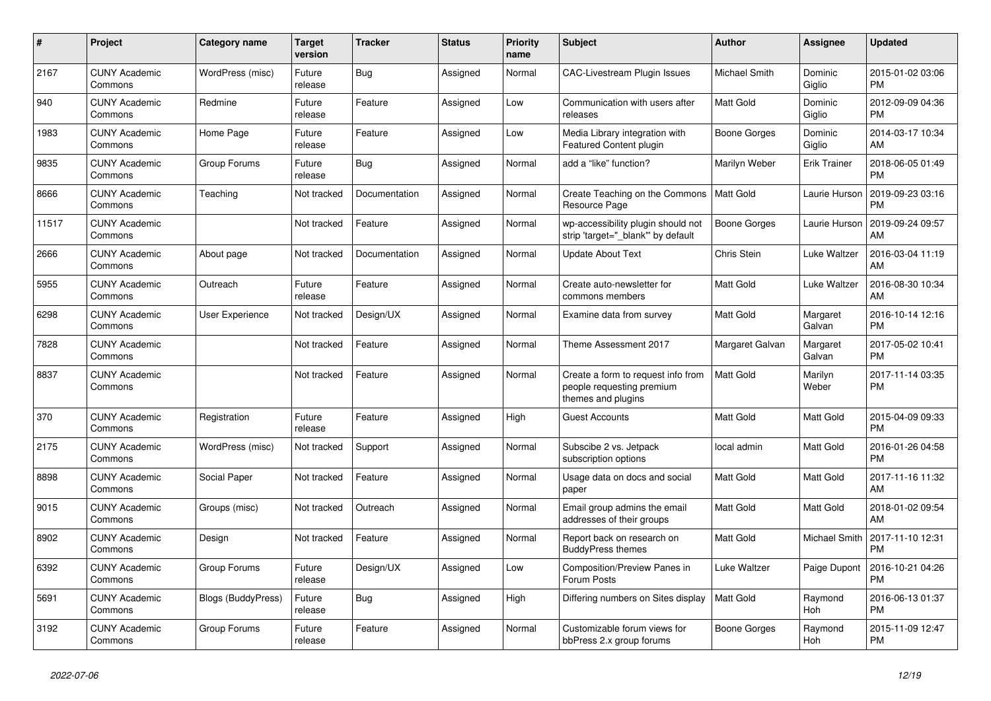| $\#$  | Project                         | <b>Category name</b>      | <b>Target</b><br>version | <b>Tracker</b> | <b>Status</b> | <b>Priority</b><br>name | <b>Subject</b>                                                                        | <b>Author</b>    | Assignee            | <b>Updated</b>                |
|-------|---------------------------------|---------------------------|--------------------------|----------------|---------------|-------------------------|---------------------------------------------------------------------------------------|------------------|---------------------|-------------------------------|
| 2167  | <b>CUNY Academic</b><br>Commons | WordPress (misc)          | Future<br>release        | Bug            | Assigned      | Normal                  | <b>CAC-Livestream Plugin Issues</b>                                                   | Michael Smith    | Dominic<br>Giglio   | 2015-01-02 03:06<br><b>PM</b> |
| 940   | <b>CUNY Academic</b><br>Commons | Redmine                   | Future<br>release        | Feature        | Assigned      | Low                     | Communication with users after<br>releases                                            | Matt Gold        | Dominic<br>Giglio   | 2012-09-09 04:36<br><b>PM</b> |
| 1983  | <b>CUNY Academic</b><br>Commons | Home Page                 | Future<br>release        | Feature        | Assigned      | Low                     | Media Library integration with<br>Featured Content plugin                             | Boone Gorges     | Dominic<br>Giglio   | 2014-03-17 10:34<br>AM        |
| 9835  | <b>CUNY Academic</b><br>Commons | Group Forums              | Future<br>release        | <b>Bug</b>     | Assigned      | Normal                  | add a "like" function?                                                                | Marilyn Weber    | <b>Erik Trainer</b> | 2018-06-05 01:49<br><b>PM</b> |
| 8666  | <b>CUNY Academic</b><br>Commons | Teaching                  | Not tracked              | Documentation  | Assigned      | Normal                  | Create Teaching on the Commons<br>Resource Page                                       | l Matt Gold      | Laurie Hurson       | 2019-09-23 03:16<br><b>PM</b> |
| 11517 | <b>CUNY Academic</b><br>Commons |                           | Not tracked              | Feature        | Assigned      | Normal                  | wp-accessibility plugin should not<br>strip 'target=" blank" by default               | Boone Gorges     | Laurie Hurson       | 2019-09-24 09:57<br>AM        |
| 2666  | <b>CUNY Academic</b><br>Commons | About page                | Not tracked              | Documentation  | Assigned      | Normal                  | <b>Update About Text</b>                                                              | Chris Stein      | Luke Waltzer        | 2016-03-04 11:19<br>AM        |
| 5955  | <b>CUNY Academic</b><br>Commons | Outreach                  | Future<br>release        | Feature        | Assigned      | Normal                  | Create auto-newsletter for<br>commons members                                         | <b>Matt Gold</b> | Luke Waltzer        | 2016-08-30 10:34<br>AM        |
| 6298  | <b>CUNY Academic</b><br>Commons | User Experience           | Not tracked              | Design/UX      | Assigned      | Normal                  | Examine data from survey                                                              | Matt Gold        | Margaret<br>Galvan  | 2016-10-14 12:16<br><b>PM</b> |
| 7828  | <b>CUNY Academic</b><br>Commons |                           | Not tracked              | Feature        | Assigned      | Normal                  | Theme Assessment 2017                                                                 | Margaret Galvan  | Margaret<br>Galvan  | 2017-05-02 10:41<br><b>PM</b> |
| 8837  | <b>CUNY Academic</b><br>Commons |                           | Not tracked              | Feature        | Assigned      | Normal                  | Create a form to request info from<br>people requesting premium<br>themes and plugins | <b>Matt Gold</b> | Marilyn<br>Weber    | 2017-11-14 03:35<br><b>PM</b> |
| 370   | <b>CUNY Academic</b><br>Commons | Registration              | Future<br>release        | Feature        | Assigned      | High                    | <b>Guest Accounts</b>                                                                 | <b>Matt Gold</b> | Matt Gold           | 2015-04-09 09:33<br><b>PM</b> |
| 2175  | <b>CUNY Academic</b><br>Commons | WordPress (misc)          | Not tracked              | Support        | Assigned      | Normal                  | Subscibe 2 vs. Jetpack<br>subscription options                                        | local admin      | Matt Gold           | 2016-01-26 04:58<br><b>PM</b> |
| 8898  | <b>CUNY Academic</b><br>Commons | Social Paper              | Not tracked              | Feature        | Assigned      | Normal                  | Usage data on docs and social<br>paper                                                | <b>Matt Gold</b> | Matt Gold           | 2017-11-16 11:32<br>AM        |
| 9015  | <b>CUNY Academic</b><br>Commons | Groups (misc)             | Not tracked              | Outreach       | Assigned      | Normal                  | Email group admins the email<br>addresses of their groups                             | Matt Gold        | Matt Gold           | 2018-01-02 09:54<br>AM        |
| 8902  | <b>CUNY Academic</b><br>Commons | Design                    | Not tracked              | Feature        | Assigned      | Normal                  | Report back on research on<br><b>BuddyPress themes</b>                                | Matt Gold        | Michael Smith       | 2017-11-10 12:31<br><b>PM</b> |
| 6392  | <b>CUNY Academic</b><br>Commons | Group Forums              | Future<br>release        | Design/UX      | Assigned      | Low                     | Composition/Preview Panes in<br>Forum Posts                                           | Luke Waltzer     | Paige Dupont        | 2016-10-21 04:26<br><b>PM</b> |
| 5691  | <b>CUNY Academic</b><br>Commons | <b>Blogs (BuddyPress)</b> | Future<br>release        | Bug            | Assigned      | High                    | Differing numbers on Sites display                                                    | Matt Gold        | Raymond<br>Hoh      | 2016-06-13 01:37<br><b>PM</b> |
| 3192  | <b>CUNY Academic</b><br>Commons | Group Forums              | Future<br>release        | Feature        | Assigned      | Normal                  | Customizable forum views for<br>bbPress 2.x group forums                              | Boone Gorges     | Raymond<br>Hoh      | 2015-11-09 12:47<br><b>PM</b> |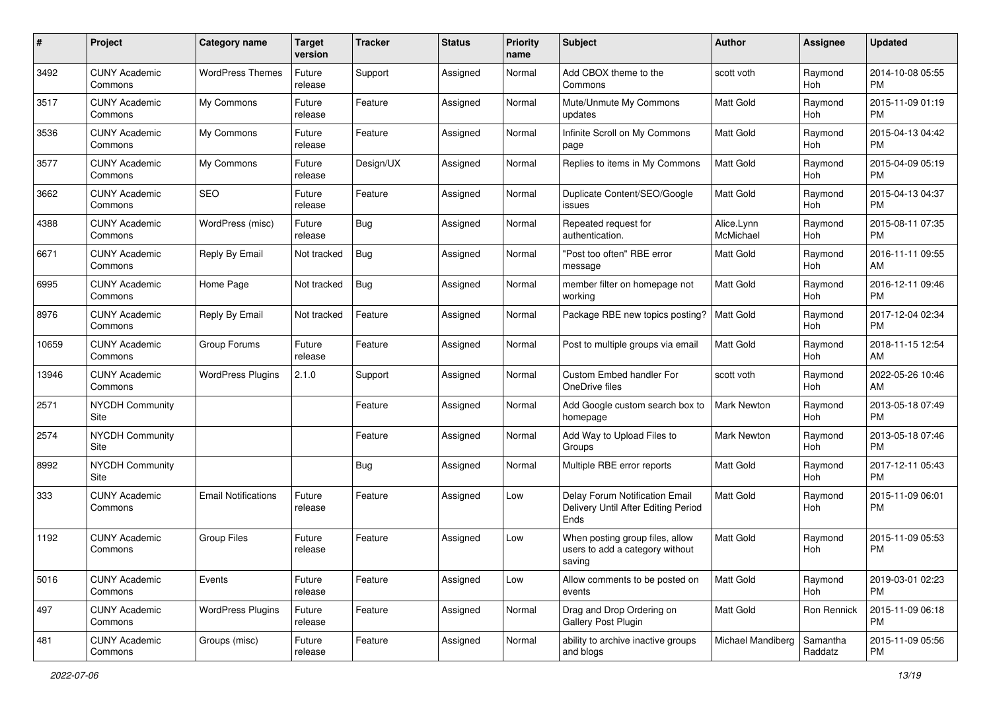| #     | Project                         | <b>Category name</b>       | <b>Target</b><br>version | <b>Tracker</b> | <b>Status</b> | Priority<br>name | Subject                                                                       | Author                  | <b>Assignee</b>     | <b>Updated</b>                |
|-------|---------------------------------|----------------------------|--------------------------|----------------|---------------|------------------|-------------------------------------------------------------------------------|-------------------------|---------------------|-------------------------------|
| 3492  | <b>CUNY Academic</b><br>Commons | <b>WordPress Themes</b>    | Future<br>release        | Support        | Assigned      | Normal           | Add CBOX theme to the<br>Commons                                              | scott voth              | Raymond<br>Hoh      | 2014-10-08 05:55<br>PM        |
| 3517  | <b>CUNY Academic</b><br>Commons | My Commons                 | Future<br>release        | Feature        | Assigned      | Normal           | Mute/Unmute My Commons<br>updates                                             | Matt Gold               | Raymond<br>Hoh      | 2015-11-09 01:19<br><b>PM</b> |
| 3536  | <b>CUNY Academic</b><br>Commons | My Commons                 | Future<br>release        | Feature        | Assigned      | Normal           | Infinite Scroll on My Commons<br>page                                         | Matt Gold               | Raymond<br>Hoh      | 2015-04-13 04:42<br><b>PM</b> |
| 3577  | <b>CUNY Academic</b><br>Commons | My Commons                 | Future<br>release        | Design/UX      | Assigned      | Normal           | Replies to items in My Commons                                                | <b>Matt Gold</b>        | Raymond<br>Hoh      | 2015-04-09 05:19<br><b>PM</b> |
| 3662  | <b>CUNY Academic</b><br>Commons | <b>SEO</b>                 | Future<br>release        | Feature        | Assigned      | Normal           | Duplicate Content/SEO/Google<br>issues                                        | <b>Matt Gold</b>        | Raymond<br>Hoh      | 2015-04-13 04:37<br><b>PM</b> |
| 4388  | <b>CUNY Academic</b><br>Commons | WordPress (misc)           | Future<br>release        | Bug            | Assigned      | Normal           | Repeated request for<br>authentication.                                       | Alice.Lynn<br>McMichael | Raymond<br>Hoh      | 2015-08-11 07:35<br><b>PM</b> |
| 6671  | <b>CUNY Academic</b><br>Commons | Reply By Email             | Not tracked              | <b>Bug</b>     | Assigned      | Normal           | "Post too often" RBE error<br>message                                         | <b>Matt Gold</b>        | Raymond<br>Hoh      | 2016-11-11 09:55<br>AM        |
| 6995  | <b>CUNY Academic</b><br>Commons | Home Page                  | Not tracked              | <b>Bug</b>     | Assigned      | Normal           | member filter on homepage not<br>working                                      | <b>Matt Gold</b>        | Raymond<br>Hoh      | 2016-12-11 09:46<br><b>PM</b> |
| 8976  | <b>CUNY Academic</b><br>Commons | Reply By Email             | Not tracked              | Feature        | Assigned      | Normal           | Package RBE new topics posting?                                               | <b>Matt Gold</b>        | Raymond<br>Hoh      | 2017-12-04 02:34<br><b>PM</b> |
| 10659 | <b>CUNY Academic</b><br>Commons | Group Forums               | Future<br>release        | Feature        | Assigned      | Normal           | Post to multiple groups via email                                             | <b>Matt Gold</b>        | Raymond<br>Hoh      | 2018-11-15 12:54<br>AM        |
| 13946 | <b>CUNY Academic</b><br>Commons | <b>WordPress Plugins</b>   | 2.1.0                    | Support        | Assigned      | Normal           | Custom Embed handler For<br>OneDrive files                                    | scott voth              | Raymond<br>Hoh      | 2022-05-26 10:46<br>AM        |
| 2571  | <b>NYCDH Community</b><br>Site  |                            |                          | Feature        | Assigned      | Normal           | Add Google custom search box to<br>homepage                                   | <b>Mark Newton</b>      | Raymond<br>Hoh      | 2013-05-18 07:49<br><b>PM</b> |
| 2574  | NYCDH Community<br>Site         |                            |                          | Feature        | Assigned      | Normal           | Add Way to Upload Files to<br>Groups                                          | <b>Mark Newton</b>      | Raymond<br>Hoh      | 2013-05-18 07:46<br><b>PM</b> |
| 8992  | <b>NYCDH Community</b><br>Site  |                            |                          | Bug            | Assigned      | Normal           | Multiple RBE error reports                                                    | <b>Matt Gold</b>        | Raymond<br>Hoh      | 2017-12-11 05:43<br><b>PM</b> |
| 333   | <b>CUNY Academic</b><br>Commons | <b>Email Notifications</b> | Future<br>release        | Feature        | Assigned      | Low              | Delay Forum Notification Email<br>Delivery Until After Editing Period<br>Ends | <b>Matt Gold</b>        | Raymond<br>Hoh      | 2015-11-09 06:01<br><b>PM</b> |
| 1192  | <b>CUNY Academic</b><br>Commons | <b>Group Files</b>         | Future<br>release        | Feature        | Assigned      | Low              | When posting group files, allow<br>users to add a category without<br>saving  | <b>Matt Gold</b>        | Raymond<br>Hoh      | 2015-11-09 05:53<br><b>PM</b> |
| 5016  | <b>CUNY Academic</b><br>Commons | Events                     | Future<br>release        | Feature        | Assigned      | Low              | Allow comments to be posted on<br>events                                      | Matt Gold               | Raymond<br>Hoh      | 2019-03-01 02:23<br>PM        |
| 497   | <b>CUNY Academic</b><br>Commons | <b>WordPress Plugins</b>   | Future<br>release        | Feature        | Assigned      | Normal           | Drag and Drop Ordering on<br>Gallery Post Plugin                              | <b>Matt Gold</b>        | Ron Rennick         | 2015-11-09 06:18<br><b>PM</b> |
| 481   | <b>CUNY Academic</b><br>Commons | Groups (misc)              | Future<br>release        | Feature        | Assigned      | Normal           | ability to archive inactive groups<br>and blogs                               | Michael Mandiberg       | Samantha<br>Raddatz | 2015-11-09 05:56<br><b>PM</b> |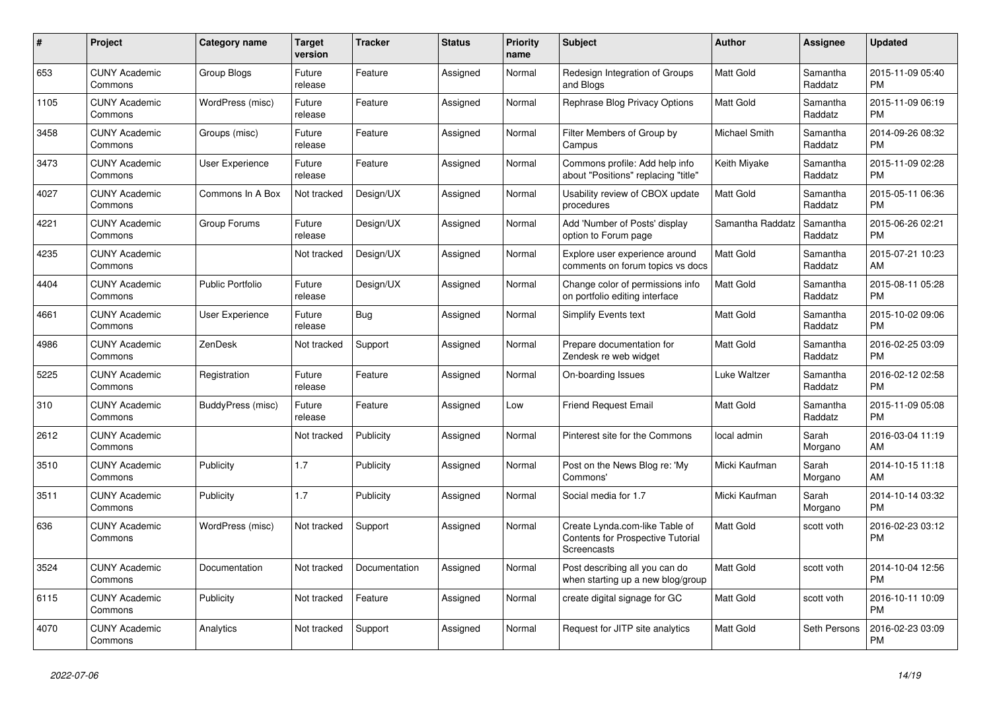| #    | Project                         | <b>Category name</b>    | <b>Target</b><br>version | <b>Tracker</b> | <b>Status</b> | <b>Priority</b><br>name | <b>Subject</b>                                                                            | <b>Author</b>        | Assignee            | <b>Updated</b>                |
|------|---------------------------------|-------------------------|--------------------------|----------------|---------------|-------------------------|-------------------------------------------------------------------------------------------|----------------------|---------------------|-------------------------------|
| 653  | <b>CUNY Academic</b><br>Commons | Group Blogs             | Future<br>release        | Feature        | Assigned      | Normal                  | Redesign Integration of Groups<br>and Blogs                                               | <b>Matt Gold</b>     | Samantha<br>Raddatz | 2015-11-09 05:40<br><b>PM</b> |
| 1105 | <b>CUNY Academic</b><br>Commons | WordPress (misc)        | Future<br>release        | Feature        | Assigned      | Normal                  | Rephrase Blog Privacy Options                                                             | <b>Matt Gold</b>     | Samantha<br>Raddatz | 2015-11-09 06:19<br><b>PM</b> |
| 3458 | <b>CUNY Academic</b><br>Commons | Groups (misc)           | Future<br>release        | Feature        | Assigned      | Normal                  | Filter Members of Group by<br>Campus                                                      | <b>Michael Smith</b> | Samantha<br>Raddatz | 2014-09-26 08:32<br><b>PM</b> |
| 3473 | <b>CUNY Academic</b><br>Commons | <b>User Experience</b>  | Future<br>release        | Feature        | Assigned      | Normal                  | Commons profile: Add help info<br>about "Positions" replacing "title"                     | Keith Miyake         | Samantha<br>Raddatz | 2015-11-09 02:28<br><b>PM</b> |
| 4027 | <b>CUNY Academic</b><br>Commons | Commons In A Box        | Not tracked              | Design/UX      | Assigned      | Normal                  | Usability review of CBOX update<br>procedures                                             | <b>Matt Gold</b>     | Samantha<br>Raddatz | 2015-05-11 06:36<br><b>PM</b> |
| 4221 | <b>CUNY Academic</b><br>Commons | Group Forums            | Future<br>release        | Design/UX      | Assigned      | Normal                  | Add 'Number of Posts' display<br>option to Forum page                                     | Samantha Raddatz     | Samantha<br>Raddatz | 2015-06-26 02:21<br><b>PM</b> |
| 4235 | <b>CUNY Academic</b><br>Commons |                         | Not tracked              | Design/UX      | Assigned      | Normal                  | Explore user experience around<br>comments on forum topics vs docs                        | <b>Matt Gold</b>     | Samantha<br>Raddatz | 2015-07-21 10:23<br>AM        |
| 4404 | <b>CUNY Academic</b><br>Commons | <b>Public Portfolio</b> | Future<br>release        | Design/UX      | Assigned      | Normal                  | Change color of permissions info<br>on portfolio editing interface                        | <b>Matt Gold</b>     | Samantha<br>Raddatz | 2015-08-11 05:28<br><b>PM</b> |
| 4661 | <b>CUNY Academic</b><br>Commons | User Experience         | Future<br>release        | Bug            | Assigned      | Normal                  | Simplify Events text                                                                      | Matt Gold            | Samantha<br>Raddatz | 2015-10-02 09:06<br><b>PM</b> |
| 4986 | <b>CUNY Academic</b><br>Commons | ZenDesk                 | Not tracked              | Support        | Assigned      | Normal                  | Prepare documentation for<br>Zendesk re web widget                                        | Matt Gold            | Samantha<br>Raddatz | 2016-02-25 03:09<br><b>PM</b> |
| 5225 | <b>CUNY Academic</b><br>Commons | Registration            | Future<br>release        | Feature        | Assigned      | Normal                  | On-boarding Issues                                                                        | <b>Luke Waltzer</b>  | Samantha<br>Raddatz | 2016-02-12 02:58<br><b>PM</b> |
| 310  | <b>CUNY Academic</b><br>Commons | BuddyPress (misc)       | Future<br>release        | Feature        | Assigned      | Low                     | <b>Friend Request Email</b>                                                               | <b>Matt Gold</b>     | Samantha<br>Raddatz | 2015-11-09 05:08<br><b>PM</b> |
| 2612 | <b>CUNY Academic</b><br>Commons |                         | Not tracked              | Publicity      | Assigned      | Normal                  | Pinterest site for the Commons                                                            | local admin          | Sarah<br>Morgano    | 2016-03-04 11:19<br>AM        |
| 3510 | <b>CUNY Academic</b><br>Commons | Publicity               | 1.7                      | Publicity      | Assigned      | Normal                  | Post on the News Blog re: 'My<br>Commons'                                                 | Micki Kaufman        | Sarah<br>Morgano    | 2014-10-15 11:18<br>AM        |
| 3511 | <b>CUNY Academic</b><br>Commons | Publicity               | 1.7                      | Publicity      | Assigned      | Normal                  | Social media for 1.7                                                                      | Micki Kaufman        | Sarah<br>Morgano    | 2014-10-14 03:32<br><b>PM</b> |
| 636  | <b>CUNY Academic</b><br>Commons | WordPress (misc)        | Not tracked              | Support        | Assigned      | Normal                  | Create Lynda.com-like Table of<br><b>Contents for Prospective Tutorial</b><br>Screencasts | Matt Gold            | scott voth          | 2016-02-23 03:12<br><b>PM</b> |
| 3524 | <b>CUNY Academic</b><br>Commons | Documentation           | Not tracked              | Documentation  | Assigned      | Normal                  | Post describing all you can do<br>when starting up a new blog/group                       | <b>Matt Gold</b>     | scott voth          | 2014-10-04 12:56<br><b>PM</b> |
| 6115 | <b>CUNY Academic</b><br>Commons | Publicity               | Not tracked              | Feature        | Assigned      | Normal                  | create digital signage for GC                                                             | <b>Matt Gold</b>     | scott voth          | 2016-10-11 10:09<br><b>PM</b> |
| 4070 | <b>CUNY Academic</b><br>Commons | Analytics               | Not tracked              | Support        | Assigned      | Normal                  | Request for JITP site analytics                                                           | <b>Matt Gold</b>     | Seth Persons        | 2016-02-23 03:09<br><b>PM</b> |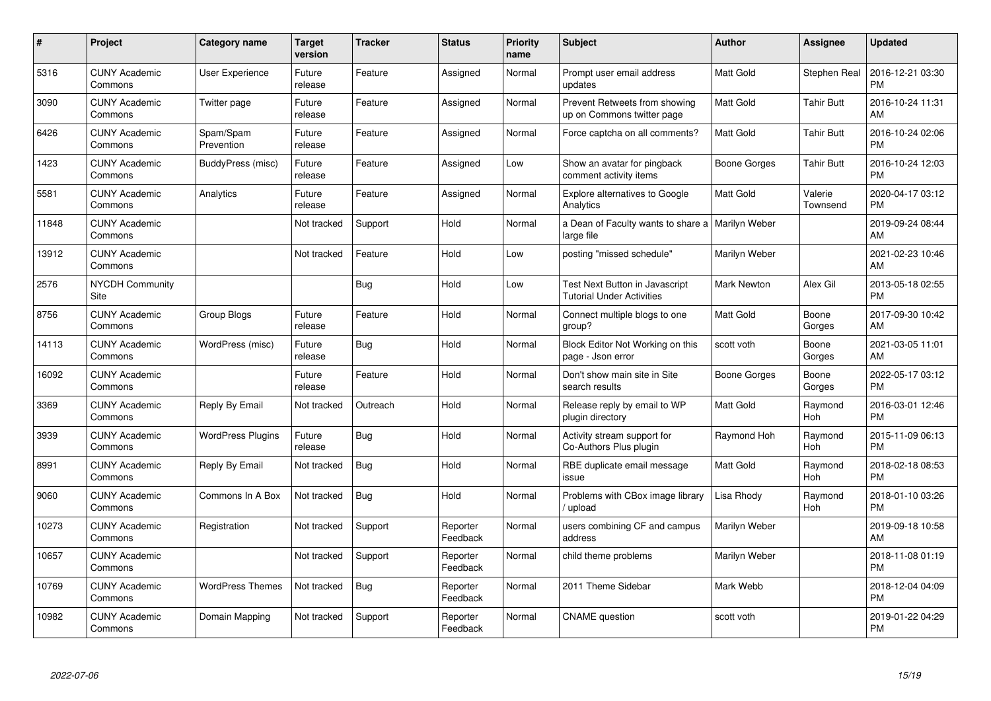| $\pmb{\#}$ | <b>Project</b>                  | <b>Category name</b>     | <b>Target</b><br>version | <b>Tracker</b> | <b>Status</b>        | <b>Priority</b><br>name | <b>Subject</b>                                                     | <b>Author</b>      | Assignee            | <b>Updated</b>                |
|------------|---------------------------------|--------------------------|--------------------------|----------------|----------------------|-------------------------|--------------------------------------------------------------------|--------------------|---------------------|-------------------------------|
| 5316       | <b>CUNY Academic</b><br>Commons | User Experience          | Future<br>release        | Feature        | Assigned             | Normal                  | Prompt user email address<br>updates                               | Matt Gold          | Stephen Real        | 2016-12-21 03:30<br><b>PM</b> |
| 3090       | <b>CUNY Academic</b><br>Commons | Twitter page             | Future<br>release        | Feature        | Assigned             | Normal                  | Prevent Retweets from showing<br>up on Commons twitter page        | Matt Gold          | <b>Tahir Butt</b>   | 2016-10-24 11:31<br>AM        |
| 6426       | <b>CUNY Academic</b><br>Commons | Spam/Spam<br>Prevention  | Future<br>release        | Feature        | Assigned             | Normal                  | Force captcha on all comments?                                     | <b>Matt Gold</b>   | Tahir Butt          | 2016-10-24 02:06<br><b>PM</b> |
| 1423       | <b>CUNY Academic</b><br>Commons | BuddyPress (misc)        | Future<br>release        | Feature        | Assigned             | Low                     | Show an avatar for pingback<br>comment activity items              | Boone Gorges       | Tahir Butt          | 2016-10-24 12:03<br><b>PM</b> |
| 5581       | <b>CUNY Academic</b><br>Commons | Analytics                | Future<br>release        | Feature        | Assigned             | Normal                  | <b>Explore alternatives to Google</b><br>Analytics                 | Matt Gold          | Valerie<br>Townsend | 2020-04-17 03:12<br><b>PM</b> |
| 11848      | <b>CUNY Academic</b><br>Commons |                          | Not tracked              | Support        | Hold                 | Normal                  | a Dean of Faculty wants to share a   Marilyn Weber<br>large file   |                    |                     | 2019-09-24 08:44<br>AM        |
| 13912      | <b>CUNY Academic</b><br>Commons |                          | Not tracked              | Feature        | Hold                 | Low                     | posting "missed schedule"                                          | Marilyn Weber      |                     | 2021-02-23 10:46<br>AM        |
| 2576       | <b>NYCDH Community</b><br>Site  |                          |                          | <b>Bug</b>     | Hold                 | Low                     | Test Next Button in Javascript<br><b>Tutorial Under Activities</b> | <b>Mark Newton</b> | Alex Gil            | 2013-05-18 02:55<br><b>PM</b> |
| 8756       | <b>CUNY Academic</b><br>Commons | Group Blogs              | Future<br>release        | Feature        | Hold                 | Normal                  | Connect multiple blogs to one<br>group?                            | Matt Gold          | Boone<br>Gorges     | 2017-09-30 10:42<br>AM        |
| 14113      | <b>CUNY Academic</b><br>Commons | WordPress (misc)         | Future<br>release        | Bug            | Hold                 | Normal                  | Block Editor Not Working on this<br>page - Json error              | scott voth         | Boone<br>Gorges     | 2021-03-05 11:01<br>AM        |
| 16092      | <b>CUNY Academic</b><br>Commons |                          | Future<br>release        | Feature        | Hold                 | Normal                  | Don't show main site in Site<br>search results                     | Boone Gorges       | Boone<br>Gorges     | 2022-05-17 03:12<br><b>PM</b> |
| 3369       | <b>CUNY Academic</b><br>Commons | Reply By Email           | Not tracked              | Outreach       | Hold                 | Normal                  | Release reply by email to WP<br>plugin directory                   | Matt Gold          | Raymond<br>Hoh      | 2016-03-01 12:46<br><b>PM</b> |
| 3939       | <b>CUNY Academic</b><br>Commons | <b>WordPress Plugins</b> | Future<br>release        | Bug            | Hold                 | Normal                  | Activity stream support for<br>Co-Authors Plus plugin              | Raymond Hoh        | Raymond<br>Hoh      | 2015-11-09 06:13<br><b>PM</b> |
| 8991       | <b>CUNY Academic</b><br>Commons | Reply By Email           | Not tracked              | <b>Bug</b>     | Hold                 | Normal                  | RBE duplicate email message<br>issue                               | Matt Gold          | Raymond<br>Hoh      | 2018-02-18 08:53<br><b>PM</b> |
| 9060       | <b>CUNY Academic</b><br>Commons | Commons In A Box         | Not tracked              | <b>Bug</b>     | Hold                 | Normal                  | Problems with CBox image library<br>upload                         | Lisa Rhody         | Raymond<br>Hoh      | 2018-01-10 03:26<br><b>PM</b> |
| 10273      | <b>CUNY Academic</b><br>Commons | Registration             | Not tracked              | Support        | Reporter<br>Feedback | Normal                  | users combining CF and campus<br>address                           | Marilyn Weber      |                     | 2019-09-18 10:58<br>AM        |
| 10657      | <b>CUNY Academic</b><br>Commons |                          | Not tracked              | Support        | Reporter<br>Feedback | Normal                  | child theme problems                                               | Marilyn Weber      |                     | 2018-11-08 01:19<br><b>PM</b> |
| 10769      | <b>CUNY Academic</b><br>Commons | <b>WordPress Themes</b>  | Not tracked              | <b>Bug</b>     | Reporter<br>Feedback | Normal                  | 2011 Theme Sidebar                                                 | Mark Webb          |                     | 2018-12-04 04:09<br><b>PM</b> |
| 10982      | <b>CUNY Academic</b><br>Commons | Domain Mapping           | Not tracked              | Support        | Reporter<br>Feedback | Normal                  | <b>CNAME</b> question                                              | scott voth         |                     | 2019-01-22 04:29<br><b>PM</b> |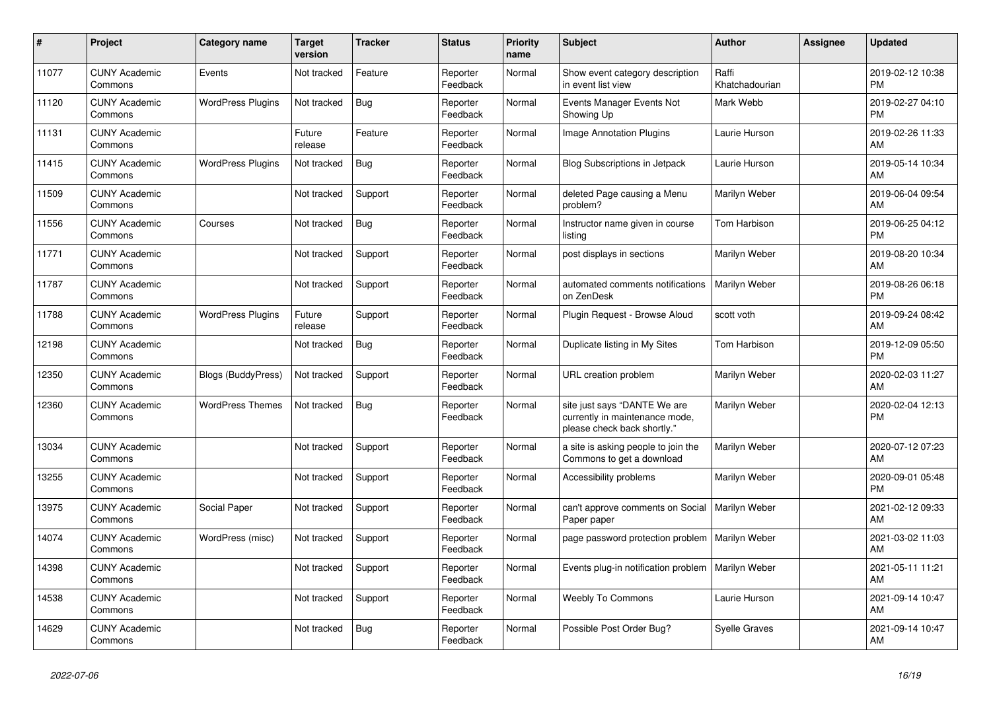| #     | Project                         | <b>Category name</b>      | <b>Target</b><br>version | <b>Tracker</b> | <b>Status</b>        | <b>Priority</b><br>name | <b>Subject</b>                                                                                | <b>Author</b>           | Assignee | Updated                       |
|-------|---------------------------------|---------------------------|--------------------------|----------------|----------------------|-------------------------|-----------------------------------------------------------------------------------------------|-------------------------|----------|-------------------------------|
| 11077 | <b>CUNY Academic</b><br>Commons | Events                    | Not tracked              | Feature        | Reporter<br>Feedback | Normal                  | Show event category description<br>in event list view                                         | Raffi<br>Khatchadourian |          | 2019-02-12 10:38<br><b>PM</b> |
| 11120 | <b>CUNY Academic</b><br>Commons | <b>WordPress Plugins</b>  | Not tracked              | Bug            | Reporter<br>Feedback | Normal                  | Events Manager Events Not<br>Showing Up                                                       | Mark Webb               |          | 2019-02-27 04:10<br><b>PM</b> |
| 11131 | <b>CUNY Academic</b><br>Commons |                           | Future<br>release        | Feature        | Reporter<br>Feedback | Normal                  | <b>Image Annotation Plugins</b>                                                               | Laurie Hurson           |          | 2019-02-26 11:33<br>AM        |
| 11415 | <b>CUNY Academic</b><br>Commons | <b>WordPress Plugins</b>  | Not tracked              | <b>Bug</b>     | Reporter<br>Feedback | Normal                  | Blog Subscriptions in Jetpack                                                                 | Laurie Hurson           |          | 2019-05-14 10:34<br>AM        |
| 11509 | <b>CUNY Academic</b><br>Commons |                           | Not tracked              | Support        | Reporter<br>Feedback | Normal                  | deleted Page causing a Menu<br>problem?                                                       | Marilyn Weber           |          | 2019-06-04 09:54<br>AM        |
| 11556 | <b>CUNY Academic</b><br>Commons | Courses                   | Not tracked              | Bug            | Reporter<br>Feedback | Normal                  | Instructor name given in course<br>listing                                                    | Tom Harbison            |          | 2019-06-25 04:12<br><b>PM</b> |
| 11771 | <b>CUNY Academic</b><br>Commons |                           | Not tracked              | Support        | Reporter<br>Feedback | Normal                  | post displays in sections                                                                     | Marilyn Weber           |          | 2019-08-20 10:34<br>AM        |
| 11787 | <b>CUNY Academic</b><br>Commons |                           | Not tracked              | Support        | Reporter<br>Feedback | Normal                  | automated comments notifications<br>on ZenDesk                                                | Marilyn Weber           |          | 2019-08-26 06:18<br><b>PM</b> |
| 11788 | <b>CUNY Academic</b><br>Commons | <b>WordPress Plugins</b>  | Future<br>release        | Support        | Reporter<br>Feedback | Normal                  | Plugin Request - Browse Aloud                                                                 | scott voth              |          | 2019-09-24 08:42<br>AM        |
| 12198 | <b>CUNY Academic</b><br>Commons |                           | Not tracked              | Bug            | Reporter<br>Feedback | Normal                  | Duplicate listing in My Sites                                                                 | Tom Harbison            |          | 2019-12-09 05:50<br><b>PM</b> |
| 12350 | <b>CUNY Academic</b><br>Commons | <b>Blogs (BuddyPress)</b> | Not tracked              | Support        | Reporter<br>Feedback | Normal                  | URL creation problem                                                                          | Marilyn Weber           |          | 2020-02-03 11:27<br>AM        |
| 12360 | <b>CUNY Academic</b><br>Commons | <b>WordPress Themes</b>   | Not tracked              | <b>Bug</b>     | Reporter<br>Feedback | Normal                  | site just says "DANTE We are<br>currently in maintenance mode,<br>please check back shortly." | Marilyn Weber           |          | 2020-02-04 12:13<br><b>PM</b> |
| 13034 | <b>CUNY Academic</b><br>Commons |                           | Not tracked              | Support        | Reporter<br>Feedback | Normal                  | a site is asking people to join the<br>Commons to get a download                              | Marilyn Weber           |          | 2020-07-12 07:23<br>AM        |
| 13255 | <b>CUNY Academic</b><br>Commons |                           | Not tracked              | Support        | Reporter<br>Feedback | Normal                  | Accessibility problems                                                                        | Marilyn Weber           |          | 2020-09-01 05:48<br><b>PM</b> |
| 13975 | <b>CUNY Academic</b><br>Commons | Social Paper              | Not tracked              | Support        | Reporter<br>Feedback | Normal                  | can't approve comments on Social<br>Paper paper                                               | Marilyn Weber           |          | 2021-02-12 09:33<br>AM        |
| 14074 | <b>CUNY Academic</b><br>Commons | WordPress (misc)          | Not tracked              | Support        | Reporter<br>Feedback | Normal                  | page password protection problem                                                              | Marilyn Weber           |          | 2021-03-02 11:03<br>AM        |
| 14398 | <b>CUNY Academic</b><br>Commons |                           | Not tracked              | Support        | Reporter<br>Feedback | Normal                  | Events plug-in notification problem                                                           | Marilyn Weber           |          | 2021-05-11 11:21<br>AM        |
| 14538 | <b>CUNY Academic</b><br>Commons |                           | Not tracked              | Support        | Reporter<br>Feedback | Normal                  | <b>Weebly To Commons</b>                                                                      | Laurie Hurson           |          | 2021-09-14 10:47<br>AM        |
| 14629 | <b>CUNY Academic</b><br>Commons |                           | Not tracked              | <b>Bug</b>     | Reporter<br>Feedback | Normal                  | Possible Post Order Bug?                                                                      | <b>Syelle Graves</b>    |          | 2021-09-14 10:47<br>AM        |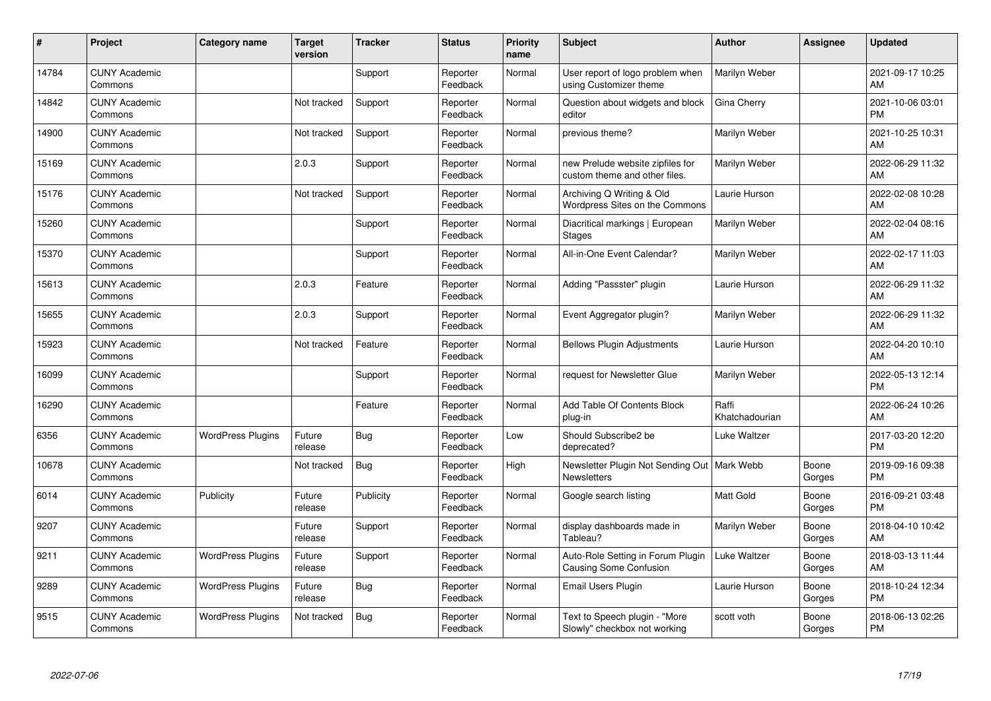| ∦     | Project                         | Category name            | <b>Target</b><br>version | <b>Tracker</b> | <b>Status</b>        | Priority<br>name | <b>Subject</b>                                                      | <b>Author</b>           | <b>Assignee</b> | <b>Updated</b>                |
|-------|---------------------------------|--------------------------|--------------------------|----------------|----------------------|------------------|---------------------------------------------------------------------|-------------------------|-----------------|-------------------------------|
| 14784 | <b>CUNY Academic</b><br>Commons |                          |                          | Support        | Reporter<br>Feedback | Normal           | User report of logo problem when<br>using Customizer theme          | Marilyn Weber           |                 | 2021-09-17 10:25<br>AM        |
| 14842 | <b>CUNY Academic</b><br>Commons |                          | Not tracked              | Support        | Reporter<br>Feedback | Normal           | Question about widgets and block<br>editor                          | <b>Gina Cherry</b>      |                 | 2021-10-06 03:01<br><b>PM</b> |
| 14900 | <b>CUNY Academic</b><br>Commons |                          | Not tracked              | Support        | Reporter<br>Feedback | Normal           | previous theme?                                                     | Marilyn Weber           |                 | 2021-10-25 10:31<br>AM        |
| 15169 | <b>CUNY Academic</b><br>Commons |                          | 2.0.3                    | Support        | Reporter<br>Feedback | Normal           | new Prelude website zipfiles for<br>custom theme and other files.   | Marilyn Weber           |                 | 2022-06-29 11:32<br>AM        |
| 15176 | <b>CUNY Academic</b><br>Commons |                          | Not tracked              | Support        | Reporter<br>Feedback | Normal           | Archiving Q Writing & Old<br>Wordpress Sites on the Commons         | Laurie Hurson           |                 | 2022-02-08 10:28<br>AM        |
| 15260 | <b>CUNY Academic</b><br>Commons |                          |                          | Support        | Reporter<br>Feedback | Normal           | Diacritical markings   European<br>Stages                           | Marilyn Weber           |                 | 2022-02-04 08:16<br>AM        |
| 15370 | <b>CUNY Academic</b><br>Commons |                          |                          | Support        | Reporter<br>Feedback | Normal           | All-in-One Event Calendar?                                          | Marilyn Weber           |                 | 2022-02-17 11:03<br>AM        |
| 15613 | <b>CUNY Academic</b><br>Commons |                          | 2.0.3                    | Feature        | Reporter<br>Feedback | Normal           | Adding "Passster" plugin                                            | Laurie Hurson           |                 | 2022-06-29 11:32<br>AM        |
| 15655 | <b>CUNY Academic</b><br>Commons |                          | 2.0.3                    | Support        | Reporter<br>Feedback | Normal           | Event Aggregator plugin?                                            | Marilyn Weber           |                 | 2022-06-29 11:32<br>AM        |
| 15923 | <b>CUNY Academic</b><br>Commons |                          | Not tracked              | Feature        | Reporter<br>Feedback | Normal           | <b>Bellows Plugin Adjustments</b>                                   | Laurie Hurson           |                 | 2022-04-20 10:10<br>AM        |
| 16099 | <b>CUNY Academic</b><br>Commons |                          |                          | Support        | Reporter<br>Feedback | Normal           | request for Newsletter Glue                                         | Marilyn Weber           |                 | 2022-05-13 12:14<br><b>PM</b> |
| 16290 | <b>CUNY Academic</b><br>Commons |                          |                          | Feature        | Reporter<br>Feedback | Normal           | Add Table Of Contents Block<br>plug-in                              | Raffi<br>Khatchadourian |                 | 2022-06-24 10:26<br>AM        |
| 6356  | <b>CUNY Academic</b><br>Commons | <b>WordPress Plugins</b> | Future<br>release        | Bug            | Reporter<br>Feedback | Low              | Should Subscribe2 be<br>deprecated?                                 | Luke Waltzer            |                 | 2017-03-20 12:20<br><b>PM</b> |
| 10678 | <b>CUNY Academic</b><br>Commons |                          | Not tracked              | <b>Bug</b>     | Reporter<br>Feedback | High             | Newsletter Plugin Not Sending Out   Mark Webb<br><b>Newsletters</b> |                         | Boone<br>Gorges | 2019-09-16 09:38<br>PM        |
| 6014  | <b>CUNY Academic</b><br>Commons | Publicity                | Future<br>release        | Publicity      | Reporter<br>Feedback | Normal           | Google search listing                                               | Matt Gold               | Boone<br>Gorges | 2016-09-21 03:48<br><b>PM</b> |
| 9207  | <b>CUNY Academic</b><br>Commons |                          | Future<br>release        | Support        | Reporter<br>Feedback | Normal           | display dashboards made in<br>Tableau?                              | Marilyn Weber           | Boone<br>Gorges | 2018-04-10 10:42<br>AM        |
| 9211  | <b>CUNY Academic</b><br>Commons | <b>WordPress Plugins</b> | Future<br>release        | Support        | Reporter<br>Feedback | Normal           | Auto-Role Setting in Forum Plugin<br><b>Causing Some Confusion</b>  | Luke Waltzer            | Boone<br>Gorges | 2018-03-13 11:44<br>AM        |
| 9289  | <b>CUNY Academic</b><br>Commons | <b>WordPress Plugins</b> | Future<br>release        | <b>Bug</b>     | Reporter<br>Feedback | Normal           | Email Users Plugin                                                  | Laurie Hurson           | Boone<br>Gorges | 2018-10-24 12:34<br>PM        |
| 9515  | <b>CUNY Academic</b><br>Commons | <b>WordPress Plugins</b> | Not tracked              | Bug            | Reporter<br>Feedback | Normal           | Text to Speech plugin - "More<br>Slowly" checkbox not working       | scott voth              | Boone<br>Gorges | 2018-06-13 02:26<br>PM        |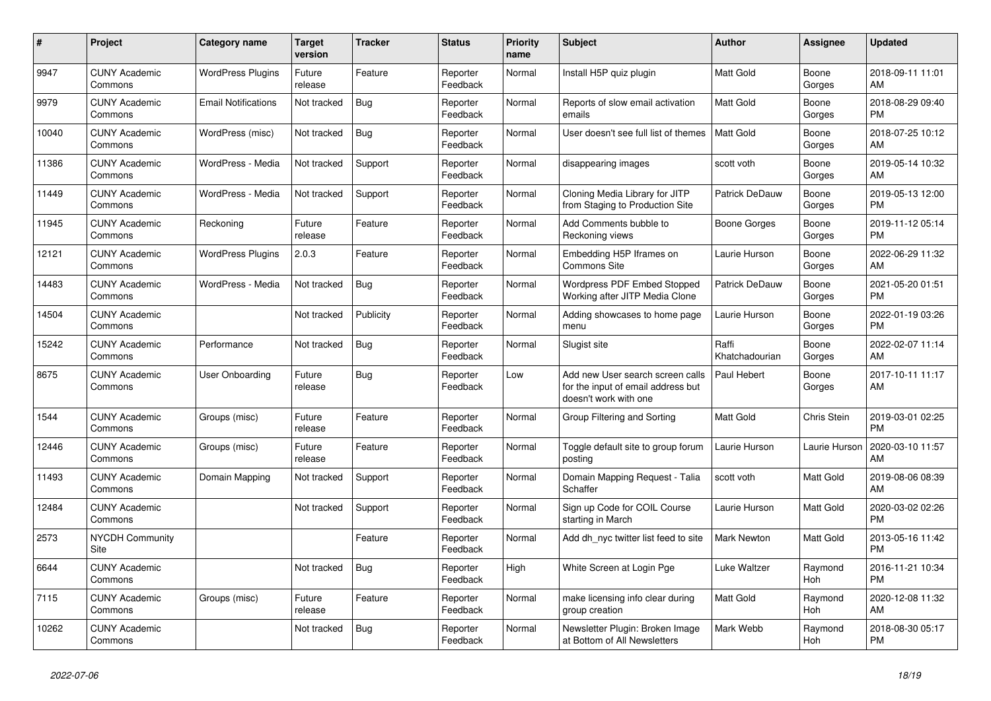| #     | Project                         | <b>Category name</b>       | <b>Target</b><br>version | <b>Tracker</b> | <b>Status</b>        | <b>Priority</b><br>name | <b>Subject</b>                                                                                  | <b>Author</b>           | <b>Assignee</b> | <b>Updated</b>                |
|-------|---------------------------------|----------------------------|--------------------------|----------------|----------------------|-------------------------|-------------------------------------------------------------------------------------------------|-------------------------|-----------------|-------------------------------|
| 9947  | <b>CUNY Academic</b><br>Commons | <b>WordPress Plugins</b>   | Future<br>release        | Feature        | Reporter<br>Feedback | Normal                  | Install H5P quiz plugin                                                                         | <b>Matt Gold</b>        | Boone<br>Gorges | 2018-09-11 11:01<br>AM        |
| 9979  | <b>CUNY Academic</b><br>Commons | <b>Email Notifications</b> | Not tracked              | Bug            | Reporter<br>Feedback | Normal                  | Reports of slow email activation<br>emails                                                      | <b>Matt Gold</b>        | Boone<br>Gorges | 2018-08-29 09:40<br><b>PM</b> |
| 10040 | <b>CUNY Academic</b><br>Commons | WordPress (misc)           | Not tracked              | Bug            | Reporter<br>Feedback | Normal                  | User doesn't see full list of themes                                                            | <b>Matt Gold</b>        | Boone<br>Gorges | 2018-07-25 10:12<br>AM        |
| 11386 | <b>CUNY Academic</b><br>Commons | WordPress - Media          | Not tracked              | Support        | Reporter<br>Feedback | Normal                  | disappearing images                                                                             | scott voth              | Boone<br>Gorges | 2019-05-14 10:32<br>AM        |
| 11449 | <b>CUNY Academic</b><br>Commons | WordPress - Media          | Not tracked              | Support        | Reporter<br>Feedback | Normal                  | Cloning Media Library for JITP<br>from Staging to Production Site                               | Patrick DeDauw          | Boone<br>Gorges | 2019-05-13 12:00<br><b>PM</b> |
| 11945 | <b>CUNY Academic</b><br>Commons | Reckoning                  | Future<br>release        | Feature        | Reporter<br>Feedback | Normal                  | Add Comments bubble to<br>Reckoning views                                                       | Boone Gorges            | Boone<br>Gorges | 2019-11-12 05:14<br><b>PM</b> |
| 12121 | <b>CUNY Academic</b><br>Commons | <b>WordPress Plugins</b>   | 2.0.3                    | Feature        | Reporter<br>Feedback | Normal                  | Embedding H5P Iframes on<br><b>Commons Site</b>                                                 | Laurie Hurson           | Boone<br>Gorges | 2022-06-29 11:32<br>AM        |
| 14483 | <b>CUNY Academic</b><br>Commons | WordPress - Media          | Not tracked              | <b>Bug</b>     | Reporter<br>Feedback | Normal                  | <b>Wordpress PDF Embed Stopped</b><br>Working after JITP Media Clone                            | Patrick DeDauw          | Boone<br>Gorges | 2021-05-20 01:51<br><b>PM</b> |
| 14504 | <b>CUNY Academic</b><br>Commons |                            | Not tracked              | Publicity      | Reporter<br>Feedback | Normal                  | Adding showcases to home page<br>menu                                                           | Laurie Hurson           | Boone<br>Gorges | 2022-01-19 03:26<br><b>PM</b> |
| 15242 | <b>CUNY Academic</b><br>Commons | Performance                | Not tracked              | <b>Bug</b>     | Reporter<br>Feedback | Normal                  | Slugist site                                                                                    | Raffi<br>Khatchadourian | Boone<br>Gorges | 2022-02-07 11:14<br>AM        |
| 8675  | <b>CUNY Academic</b><br>Commons | User Onboarding            | Future<br>release        | Bug            | Reporter<br>Feedback | Low                     | Add new User search screen calls<br>for the input of email address but<br>doesn't work with one | Paul Hebert             | Boone<br>Gorges | 2017-10-11 11:17<br>AM        |
| 1544  | <b>CUNY Academic</b><br>Commons | Groups (misc)              | Future<br>release        | Feature        | Reporter<br>Feedback | Normal                  | Group Filtering and Sorting                                                                     | <b>Matt Gold</b>        | Chris Stein     | 2019-03-01 02:25<br><b>PM</b> |
| 12446 | <b>CUNY Academic</b><br>Commons | Groups (misc)              | Future<br>release        | Feature        | Reporter<br>Feedback | Normal                  | Toggle default site to group forum<br>posting                                                   | Laurie Hurson           | Laurie Hurson   | 2020-03-10 11:57<br>AM        |
| 11493 | <b>CUNY Academic</b><br>Commons | Domain Mapping             | Not tracked              | Support        | Reporter<br>Feedback | Normal                  | Domain Mapping Request - Talia<br>Schaffer                                                      | scott voth              | Matt Gold       | 2019-08-06 08:39<br>AM        |
| 12484 | <b>CUNY Academic</b><br>Commons |                            | Not tracked              | Support        | Reporter<br>Feedback | Normal                  | Sign up Code for COIL Course<br>starting in March                                               | Laurie Hurson           | Matt Gold       | 2020-03-02 02:26<br><b>PM</b> |
| 2573  | <b>NYCDH Community</b><br>Site  |                            |                          | Feature        | Reporter<br>Feedback | Normal                  | Add dh nyc twitter list feed to site                                                            | <b>Mark Newton</b>      | Matt Gold       | 2013-05-16 11:42<br><b>PM</b> |
| 6644  | <b>CUNY Academic</b><br>Commons |                            | Not tracked              | Bug            | Reporter<br>Feedback | High                    | White Screen at Login Pge                                                                       | Luke Waltzer            | Raymond<br>Hoh  | 2016-11-21 10:34<br><b>PM</b> |
| 7115  | <b>CUNY Academic</b><br>Commons | Groups (misc)              | Future<br>release        | Feature        | Reporter<br>Feedback | Normal                  | make licensing info clear during<br>group creation                                              | <b>Matt Gold</b>        | Raymond<br>Hoh  | 2020-12-08 11:32<br>AM        |
| 10262 | <b>CUNY Academic</b><br>Commons |                            | Not tracked              | Bug            | Reporter<br>Feedback | Normal                  | Newsletter Plugin: Broken Image<br>at Bottom of All Newsletters                                 | Mark Webb               | Raymond<br>Hoh  | 2018-08-30 05:17<br><b>PM</b> |